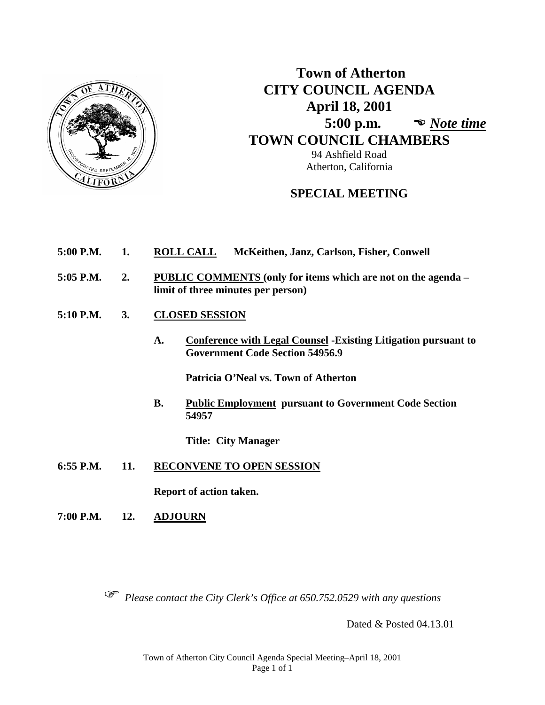

# **Town of Atherton CITY COUNCIL AGENDA April 18, 2001 5:00 p.m.**  *Note time*  **TOWN COUNCIL CHAMBERS**

94 Ashfield Road Atherton, California

# **SPECIAL MEETING**

- **5:00 P.M. 1. ROLL CALL McKeithen, Janz, Carlson, Fisher, Conwell**
- **5:05 P.M. 2. PUBLIC COMMENTS (only for items which are not on the agenda – limit of three minutes per person)**
- **5:10 P.M. 3. CLOSED SESSION**
	- **A. Conference with Legal Counsel -Existing Litigation pursuant to Government Code Section 54956.9**

**Patricia O'Neal vs. Town of Atherton**

**B. Public Employment pursuant to Government Code Section 54957**

**Title: City Manager**

**6:55 P.M. 11. RECONVENE TO OPEN SESSION**

**Report of action taken.**

**7:00 P.M. 12. ADJOURN**

*Please contact the City Clerk's Office at 650.752.0529 with any questions*

Dated & Posted 04.13.01

Town of Atherton City Council Agenda Special Meeting–April 18, 2001 Page 1 of 1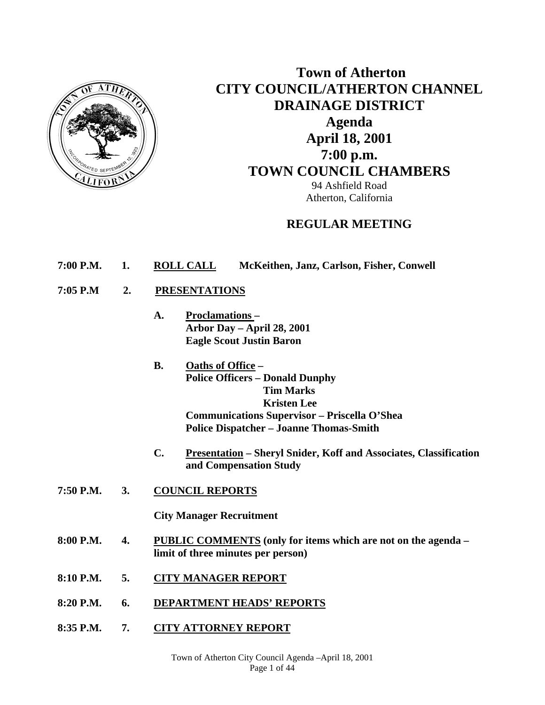

# **Town of Atherton CITY COUNCIL/ATHERTON CHANNEL DRAINAGE DISTRICT Agenda April 18, 2001 7:00 p.m. TOWN COUNCIL CHAMBERS**

94 Ashfield Road Atherton, California

# **REGULAR MEETING**

- **7:00 P.M. 1. ROLL CALL McKeithen, Janz, Carlson, Fisher, Conwell**
- **7:05 P.M 2. PRESENTATIONS** 
	- **A. Proclamations Arbor Day – April 28, 2001 Eagle Scout Justin Baron**
	- **B. Oaths of Office Police Officers – Donald Dunphy Tim Marks Kristen Lee Communications Supervisor – Priscella O'Shea Police Dispatcher – Joanne Thomas-Smith**
	- **C. Presentation Sheryl Snider, Koff and Associates, Classification and Compensation Study**
- **7:50 P.M. 3. COUNCIL REPORTS**

 **City Manager Recruitment** 

- **8:00 P.M. 4. PUBLIC COMMENTS (only for items which are not on the agenda limit of three minutes per person)**
- **8:10 P.M. 5. CITY MANAGER REPORT**
- **8:20 P.M. 6. DEPARTMENT HEADS' REPORTS**
- **8:35 P.M. 7. CITY ATTORNEY REPORT**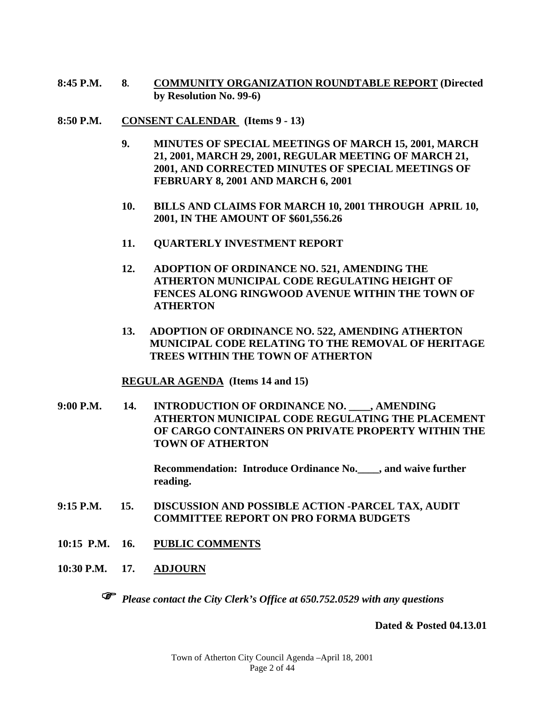- **8:45 P.M. 8. COMMUNITY ORGANIZATION ROUNDTABLE REPORT (Directed by Resolution No. 99-6)**
- **8:50 P.M. CONSENT CALENDAR (Items 9 13)** 
	- **9. MINUTES OF SPECIAL MEETINGS OF MARCH 15, 2001, MARCH 21, 2001, MARCH 29, 2001, REGULAR MEETING OF MARCH 21, 2001, AND CORRECTED MINUTES OF SPECIAL MEETINGS OF FEBRUARY 8, 2001 AND MARCH 6, 2001**
	- **10. BILLS AND CLAIMS FOR MARCH 10, 2001 THROUGH APRIL 10, 2001, IN THE AMOUNT OF \$601,556.26**
	- **11. QUARTERLY INVESTMENT REPORT**
	- **12. ADOPTION OF ORDINANCE NO. 521, AMENDING THE ATHERTON MUNICIPAL CODE REGULATING HEIGHT OF FENCES ALONG RINGWOOD AVENUE WITHIN THE TOWN OF ATHERTON**
	- **13. ADOPTION OF ORDINANCE NO. 522, AMENDING ATHERTON MUNICIPAL CODE RELATING TO THE REMOVAL OF HERITAGE TREES WITHIN THE TOWN OF ATHERTON**

## **REGULAR AGENDA (Items 14 and 15)**

**9:00 P.M. 14. INTRODUCTION OF ORDINANCE NO. \_\_\_\_, AMENDING ATHERTON MUNICIPAL CODE REGULATING THE PLACEMENT OF CARGO CONTAINERS ON PRIVATE PROPERTY WITHIN THE TOWN OF ATHERTON** 

> **Recommendation: Introduce Ordinance No.\_\_\_\_, and waive further reading.**

- **9:15 P.M. 15. DISCUSSION AND POSSIBLE ACTION -PARCEL TAX, AUDIT COMMITTEE REPORT ON PRO FORMA BUDGETS**
- **10:15 P.M. 16. PUBLIC COMMENTS**
- **10:30 P.M. 17. ADJOURN**



*Please contact the City Clerk's Office at 650.752.0529 with any questions* 

**Dated & Posted 04.13.01**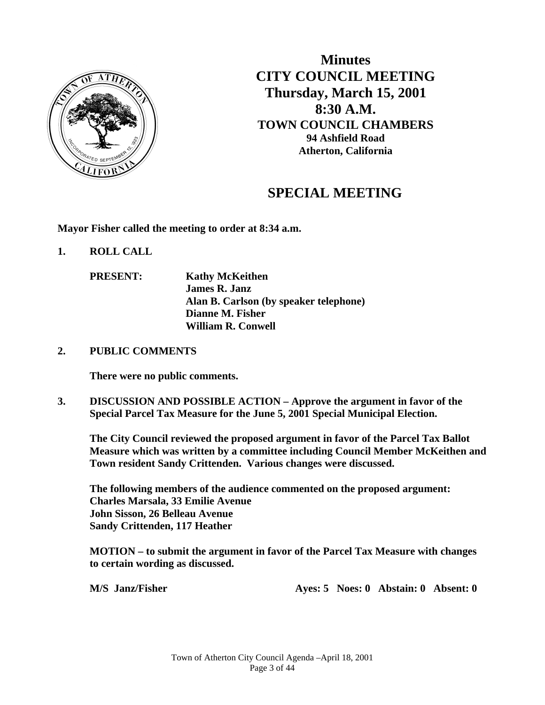

**Minutes CITY COUNCIL MEETING Thursday, March 15, 2001 8:30 A.M. TOWN COUNCIL CHAMBERS 94 Ashfield Road Atherton, California**

# **SPECIAL MEETING**

**Mayor Fisher called the meeting to order at 8:34 a.m.** 

- **1. ROLL CALL** 
	- **PRESENT: Kathy McKeithen James R. Janz Alan B. Carlson (by speaker telephone) Dianne M. Fisher William R. Conwell**

### **2. PUBLIC COMMENTS**

**There were no public comments.** 

**3. DISCUSSION AND POSSIBLE ACTION – Approve the argument in favor of the Special Parcel Tax Measure for the June 5, 2001 Special Municipal Election.** 

 **The City Council reviewed the proposed argument in favor of the Parcel Tax Ballot Measure which was written by a committee including Council Member McKeithen and Town resident Sandy Crittenden. Various changes were discussed.** 

 **The following members of the audience commented on the proposed argument: Charles Marsala, 33 Emilie Avenue John Sisson, 26 Belleau Avenue Sandy Crittenden, 117 Heather** 

 **MOTION – to submit the argument in favor of the Parcel Tax Measure with changes to certain wording as discussed.** 

 **M/S** Janz/Fisher **Ayes: 5 Noes: 0 Abstain: 0 Absent: 0**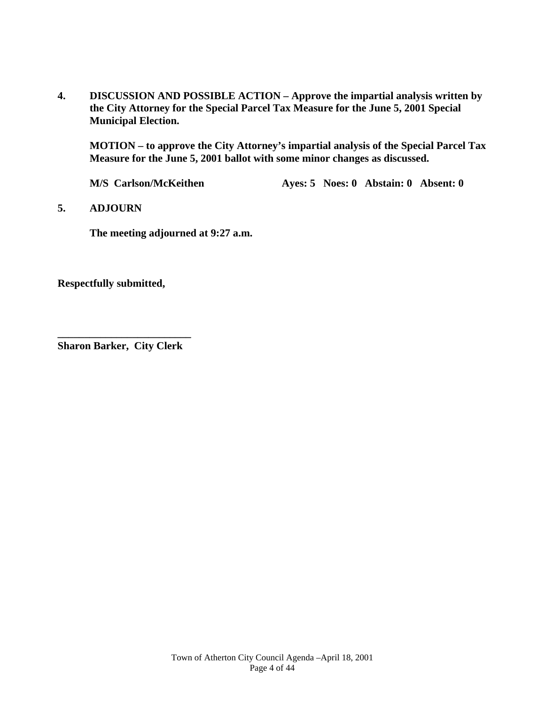**4. DISCUSSION AND POSSIBLE ACTION – Approve the impartial analysis written by the City Attorney for the Special Parcel Tax Measure for the June 5, 2001 Special Municipal Election.** 

 **MOTION – to approve the City Attorney's impartial analysis of the Special Parcel Tax Measure for the June 5, 2001 ballot with some minor changes as discussed.** 

**M/S** Carlson/McKeithen **Ayes: 5 Noes: 0 Abstain: 0 Absent: 0** 

### **5. ADJOURN**

**The meeting adjourned at 9:27 a.m.** 

**Respectfully submitted,** 

**\_\_\_\_\_\_\_\_\_\_\_\_\_\_\_\_\_\_\_\_\_\_\_\_\_ Sharon Barker, City Clerk**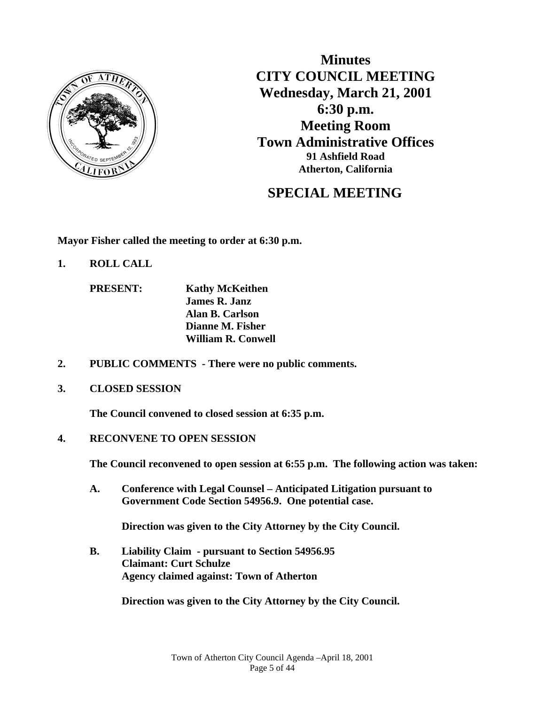

**Minutes CITY COUNCIL MEETING Wednesday, March 21, 2001 6:30 p.m. Meeting Room Town Administrative Offices 91 Ashfield Road Atherton, California**

# **SPECIAL MEETING**

**Mayor Fisher called the meeting to order at 6:30 p.m.** 

**1. ROLL CALL** 

 **PRESENT: Kathy McKeithen James R. Janz Alan B. Carlson Dianne M. Fisher William R. Conwell** 

- **2. PUBLIC COMMENTS There were no public comments.**
- **3. CLOSED SESSION**

 **The Council convened to closed session at 6:35 p.m.** 

**4. RECONVENE TO OPEN SESSION** 

 **The Council reconvened to open session at 6:55 p.m. The following action was taken:** 

 **A. Conference with Legal Counsel – Anticipated Litigation pursuant to Government Code Section 54956.9. One potential case.** 

 **Direction was given to the City Attorney by the City Council.** 

**B. Liability Claim - pursuant to Section 54956.95 Claimant: Curt Schulze Agency claimed against: Town of Atherton** 

**Direction was given to the City Attorney by the City Council.**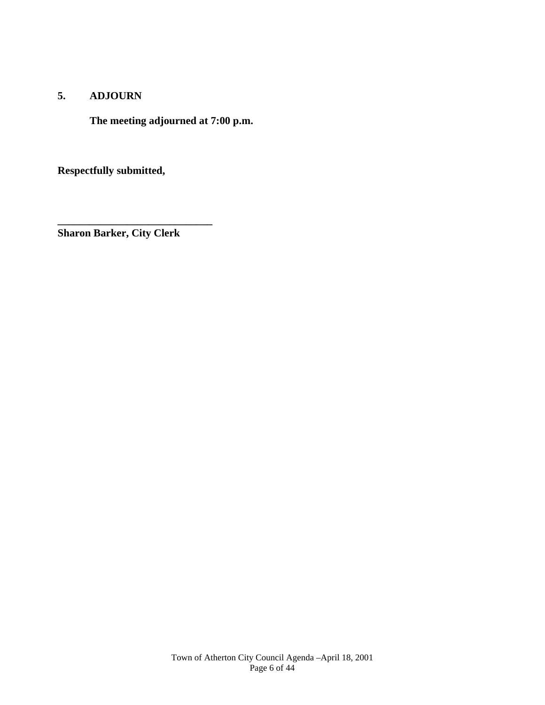## **5. ADJOURN**

**The meeting adjourned at 7:00 p.m.** 

**Respectfully submitted,** 

**Sharon Barker, City Clerk** 

**\_\_\_\_\_\_\_\_\_\_\_\_\_\_\_\_\_\_\_\_\_\_\_\_\_\_\_\_\_**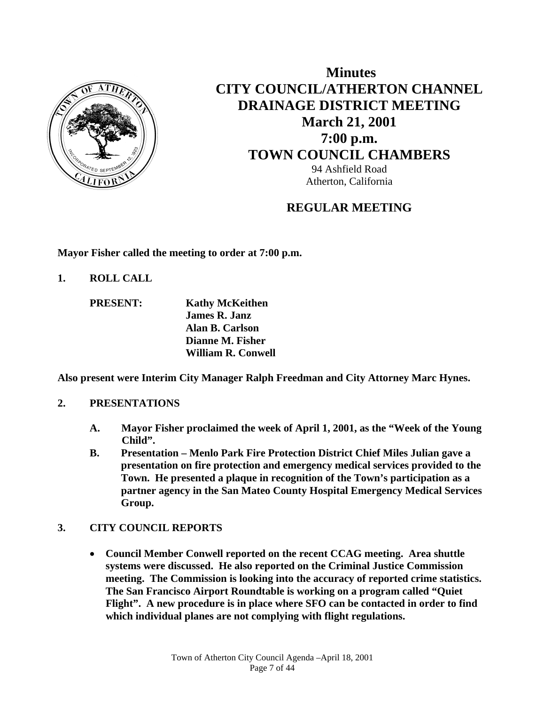

# **Minutes CITY COUNCIL/ATHERTON CHANNEL DRAINAGE DISTRICT MEETING March 21, 2001 7:00 p.m. TOWN COUNCIL CHAMBERS** 94 Ashfield Road Atherton, California

# **REGULAR MEETING**

**Mayor Fisher called the meeting to order at 7:00 p.m.** 

**1. ROLL CALL** 

 **PRESENT: Kathy McKeithen James R. Janz Alan B. Carlson Dianne M. Fisher William R. Conwell** 

**Also present were Interim City Manager Ralph Freedman and City Attorney Marc Hynes.** 

## **2. PRESENTATIONS**

- **A. Mayor Fisher proclaimed the week of April 1, 2001, as the "Week of the Young Child".**
- **B. Presentation Menlo Park Fire Protection District Chief Miles Julian gave a presentation on fire protection and emergency medical services provided to the Town. He presented a plaque in recognition of the Town's participation as a partner agency in the San Mateo County Hospital Emergency Medical Services Group.**

# **3. CITY COUNCIL REPORTS**

 **Council Member Conwell reported on the recent CCAG meeting. Area shuttle systems were discussed. He also reported on the Criminal Justice Commission meeting. The Commission is looking into the accuracy of reported crime statistics. The San Francisco Airport Roundtable is working on a program called "Quiet Flight". A new procedure is in place where SFO can be contacted in order to find which individual planes are not complying with flight regulations.**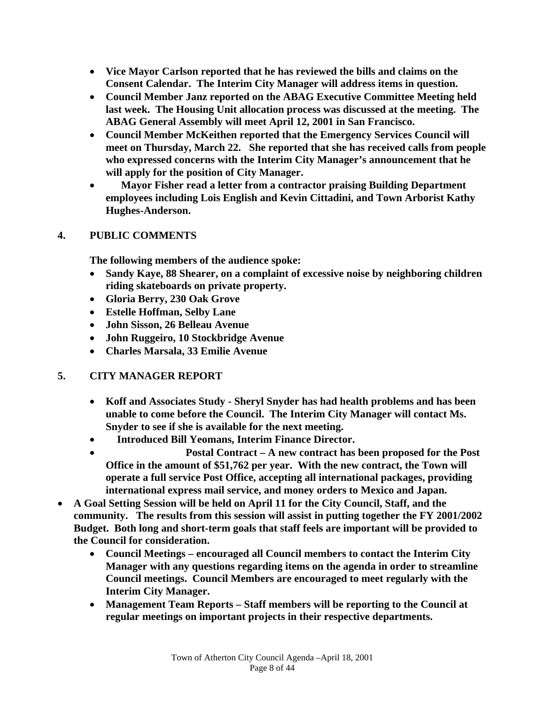- **Vice Mayor Carlson reported that he has reviewed the bills and claims on the Consent Calendar. The Interim City Manager will address items in question.**
- **Council Member Janz reported on the ABAG Executive Committee Meeting held last week. The Housing Unit allocation process was discussed at the meeting. The ABAG General Assembly will meet April 12, 2001 in San Francisco.**
- **Council Member McKeithen reported that the Emergency Services Council will meet on Thursday, March 22. She reported that she has received calls from people who expressed concerns with the Interim City Manager's announcement that he will apply for the position of City Manager.**
- **Mayor Fisher read a letter from a contractor praising Building Department employees including Lois English and Kevin Cittadini, and Town Arborist Kathy Hughes-Anderson.**

## **4. PUBLIC COMMENTS**

**The following members of the audience spoke:** 

- **Sandy Kaye, 88 Shearer, on a complaint of excessive noise by neighboring children riding skateboards on private property.**
- **Gloria Berry, 230 Oak Grove**
- **Estelle Hoffman, Selby Lane**
- **John Sisson, 26 Belleau Avenue**
- **John Ruggeiro, 10 Stockbridge Avenue**
- **Charles Marsala, 33 Emilie Avenue**

# **5. CITY MANAGER REPORT**

- **Koff and Associates Study Sheryl Snyder has had health problems and has been unable to come before the Council. The Interim City Manager will contact Ms. Snyder to see if she is available for the next meeting.**
- **Introduced Bill Yeomans, Interim Finance Director.**
- **Postal Contract A new contract has been proposed for the Post Office in the amount of \$51,762 per year. With the new contract, the Town will operate a full service Post Office, accepting all international packages, providing international express mail service, and money orders to Mexico and Japan.**
- **A Goal Setting Session will be held on April 11 for the City Council, Staff, and the community. The results from this session will assist in putting together the FY 2001/2002 Budget. Both long and short-term goals that staff feels are important will be provided to the Council for consideration.** 
	- **Council Meetings encouraged all Council members to contact the Interim City Manager with any questions regarding items on the agenda in order to streamline Council meetings. Council Members are encouraged to meet regularly with the Interim City Manager.**
	- **Management Team Reports Staff members will be reporting to the Council at regular meetings on important projects in their respective departments.**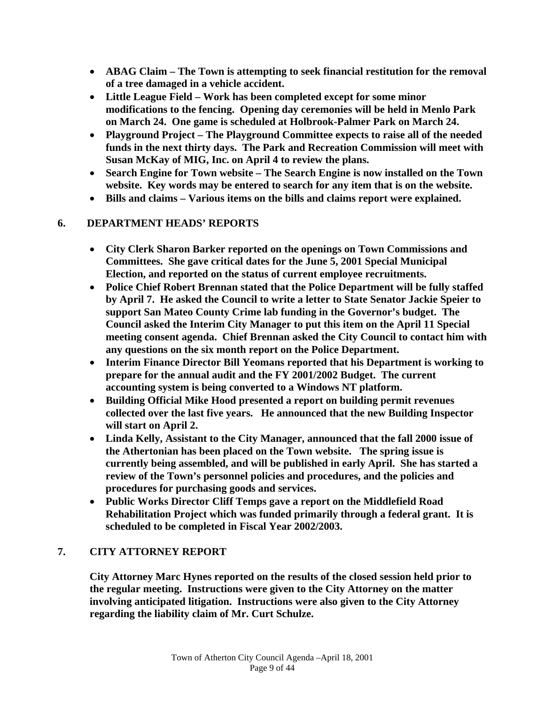- **ABAG Claim The Town is attempting to seek financial restitution for the removal of a tree damaged in a vehicle accident.**
- **Little League Field Work has been completed except for some minor modifications to the fencing. Opening day ceremonies will be held in Menlo Park on March 24. One game is scheduled at Holbrook-Palmer Park on March 24.**
- **Playground Project The Playground Committee expects to raise all of the needed funds in the next thirty days. The Park and Recreation Commission will meet with Susan McKay of MIG, Inc. on April 4 to review the plans.**
- **Search Engine for Town website The Search Engine is now installed on the Town website. Key words may be entered to search for any item that is on the website.**
- **Bills and claims Various items on the bills and claims report were explained.**

## **6. DEPARTMENT HEADS' REPORTS**

- **City Clerk Sharon Barker reported on the openings on Town Commissions and Committees. She gave critical dates for the June 5, 2001 Special Municipal Election, and reported on the status of current employee recruitments.**
- **Police Chief Robert Brennan stated that the Police Department will be fully staffed by April 7. He asked the Council to write a letter to State Senator Jackie Speier to support San Mateo County Crime lab funding in the Governor's budget. The Council asked the Interim City Manager to put this item on the April 11 Special meeting consent agenda. Chief Brennan asked the City Council to contact him with any questions on the six month report on the Police Department.**
- **Interim Finance Director Bill Yeomans reported that his Department is working to prepare for the annual audit and the FY 2001/2002 Budget. The current accounting system is being converted to a Windows NT platform.**
- **Building Official Mike Hood presented a report on building permit revenues collected over the last five years. He announced that the new Building Inspector will start on April 2.**
- **Linda Kelly, Assistant to the City Manager, announced that the fall 2000 issue of the Athertonian has been placed on the Town website. The spring issue is currently being assembled, and will be published in early April. She has started a review of the Town's personnel policies and procedures, and the policies and procedures for purchasing goods and services.**
- **Public Works Director Cliff Temps gave a report on the Middlefield Road Rehabilitation Project which was funded primarily through a federal grant. It is scheduled to be completed in Fiscal Year 2002/2003.**

# **7. CITY ATTORNEY REPORT**

**City Attorney Marc Hynes reported on the results of the closed session held prior to the regular meeting. Instructions were given to the City Attorney on the matter involving anticipated litigation. Instructions were also given to the City Attorney regarding the liability claim of Mr. Curt Schulze.**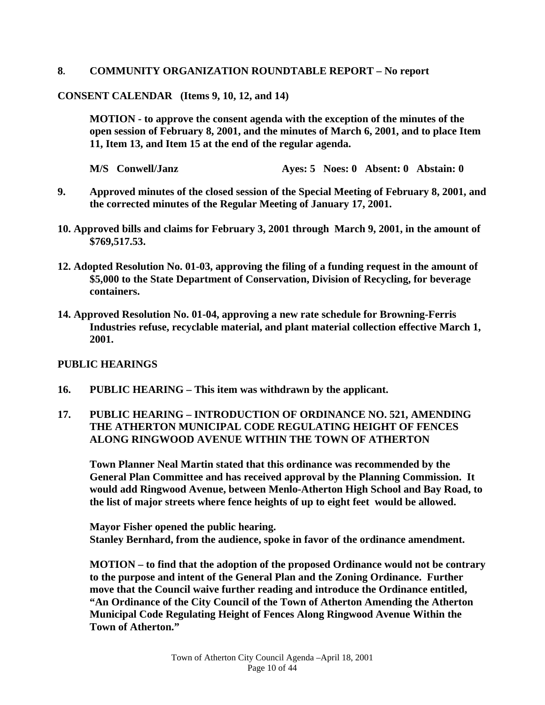### **8. COMMUNITY ORGANIZATION ROUNDTABLE REPORT – No report**

### **CONSENT CALENDAR (Items 9, 10, 12, and 14)**

**MOTION - to approve the consent agenda with the exception of the minutes of the open session of February 8, 2001, and the minutes of March 6, 2001, and to place Item 11, Item 13, and Item 15 at the end of the regular agenda.** 

 **M/S Conwell/Janz Ayes: 5 Noes: 0 Absent: 0 Abstain: 0** 

- **9. Approved minutes of the closed session of the Special Meeting of February 8, 2001, and the corrected minutes of the Regular Meeting of January 17, 2001.**
- **10. Approved bills and claims for February 3, 2001 through March 9, 2001, in the amount of \$769,517.53.**
- **12. Adopted Resolution No. 01-03, approving the filing of a funding request in the amount of \$5,000 to the State Department of Conservation, Division of Recycling, for beverage containers.**
- **14. Approved Resolution No. 01-04, approving a new rate schedule for Browning-Ferris Industries refuse, recyclable material, and plant material collection effective March 1, 2001.**

### **PUBLIC HEARINGS**

**16. PUBLIC HEARING – This item was withdrawn by the applicant.** 

## **17. PUBLIC HEARING – INTRODUCTION OF ORDINANCE NO. 521, AMENDING THE ATHERTON MUNICIPAL CODE REGULATING HEIGHT OF FENCES ALONG RINGWOOD AVENUE WITHIN THE TOWN OF ATHERTON**

 **Town Planner Neal Martin stated that this ordinance was recommended by the General Plan Committee and has received approval by the Planning Commission. It would add Ringwood Avenue, between Menlo-Atherton High School and Bay Road, to the list of major streets where fence heights of up to eight feet would be allowed.** 

 **Mayor Fisher opened the public hearing. Stanley Bernhard, from the audience, spoke in favor of the ordinance amendment.** 

 **MOTION – to find that the adoption of the proposed Ordinance would not be contrary to the purpose and intent of the General Plan and the Zoning Ordinance. Further move that the Council waive further reading and introduce the Ordinance entitled, "An Ordinance of the City Council of the Town of Atherton Amending the Atherton Municipal Code Regulating Height of Fences Along Ringwood Avenue Within the Town of Atherton."**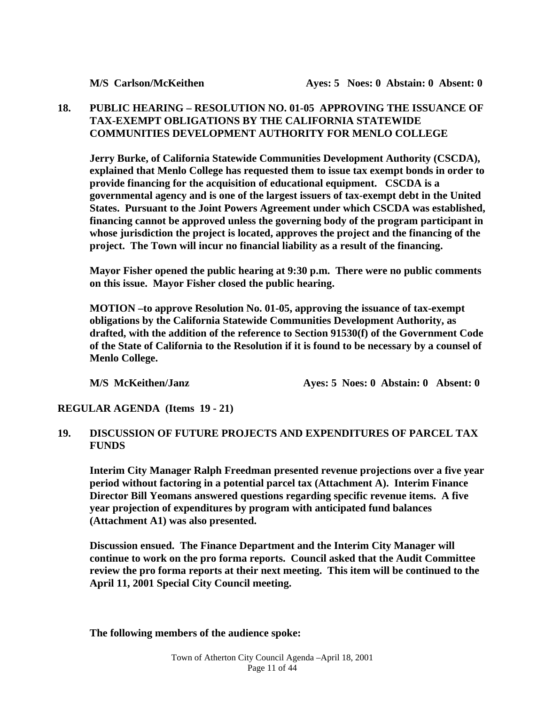## **18. PUBLIC HEARING – RESOLUTION NO. 01-05 APPROVING THE ISSUANCE OF TAX-EXEMPT OBLIGATIONS BY THE CALIFORNIA STATEWIDE COMMUNITIES DEVELOPMENT AUTHORITY FOR MENLO COLLEGE**

 **Jerry Burke, of California Statewide Communities Development Authority (CSCDA), explained that Menlo College has requested them to issue tax exempt bonds in order to provide financing for the acquisition of educational equipment. CSCDA is a governmental agency and is one of the largest issuers of tax-exempt debt in the United States. Pursuant to the Joint Powers Agreement under which CSCDA was established, financing cannot be approved unless the governing body of the program participant in whose jurisdiction the project is located, approves the project and the financing of the project. The Town will incur no financial liability as a result of the financing.** 

 **Mayor Fisher opened the public hearing at 9:30 p.m. There were no public comments on this issue. Mayor Fisher closed the public hearing.** 

 **MOTION –to approve Resolution No. 01-05, approving the issuance of tax-exempt obligations by the California Statewide Communities Development Authority, as drafted, with the addition of the reference to Section 91530(f) of the Government Code of the State of California to the Resolution if it is found to be necessary by a counsel of Menlo College.** 

**M/S McKeithen/Janz Ayes: 5 Noes: 0 Abstain: 0 Absent: 0** 

**REGULAR AGENDA (Items 19 - 21)** 

## **19. DISCUSSION OF FUTURE PROJECTS AND EXPENDITURES OF PARCEL TAX FUNDS**

**Interim City Manager Ralph Freedman presented revenue projections over a five year period without factoring in a potential parcel tax (Attachment A). Interim Finance Director Bill Yeomans answered questions regarding specific revenue items. A five year projection of expenditures by program with anticipated fund balances (Attachment A1) was also presented.** 

**Discussion ensued. The Finance Department and the Interim City Manager will continue to work on the pro forma reports. Council asked that the Audit Committee review the pro forma reports at their next meeting. This item will be continued to the April 11, 2001 Special City Council meeting.** 

**The following members of the audience spoke:**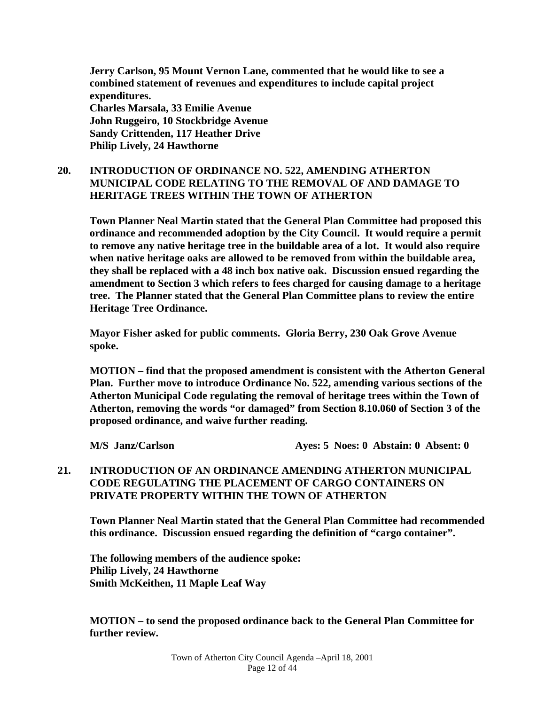**Jerry Carlson, 95 Mount Vernon Lane, commented that he would like to see a combined statement of revenues and expenditures to include capital project expenditures. Charles Marsala, 33 Emilie Avenue John Ruggeiro, 10 Stockbridge Avenue Sandy Crittenden, 117 Heather Drive Philip Lively, 24 Hawthorne** 

## **20. INTRODUCTION OF ORDINANCE NO. 522, AMENDING ATHERTON MUNICIPAL CODE RELATING TO THE REMOVAL OF AND DAMAGE TO HERITAGE TREES WITHIN THE TOWN OF ATHERTON**

**Town Planner Neal Martin stated that the General Plan Committee had proposed this ordinance and recommended adoption by the City Council. It would require a permit to remove any native heritage tree in the buildable area of a lot. It would also require when native heritage oaks are allowed to be removed from within the buildable area, they shall be replaced with a 48 inch box native oak. Discussion ensued regarding the amendment to Section 3 which refers to fees charged for causing damage to a heritage tree. The Planner stated that the General Plan Committee plans to review the entire Heritage Tree Ordinance.** 

**Mayor Fisher asked for public comments. Gloria Berry, 230 Oak Grove Avenue spoke.** 

**MOTION – find that the proposed amendment is consistent with the Atherton General Plan. Further move to introduce Ordinance No. 522, amending various sections of the Atherton Municipal Code regulating the removal of heritage trees within the Town of Atherton, removing the words "or damaged" from Section 8.10.060 of Section 3 of the proposed ordinance, and waive further reading.** 

**M/S Janz/Carlson Ayes: 5 Noes: 0 Abstain: 0 Absent: 0** 

## **21. INTRODUCTION OF AN ORDINANCE AMENDING ATHERTON MUNICIPAL CODE REGULATING THE PLACEMENT OF CARGO CONTAINERS ON PRIVATE PROPERTY WITHIN THE TOWN OF ATHERTON**

 **Town Planner Neal Martin stated that the General Plan Committee had recommended this ordinance. Discussion ensued regarding the definition of "cargo container".** 

 **The following members of the audience spoke: Philip Lively, 24 Hawthorne Smith McKeithen, 11 Maple Leaf Way** 

**MOTION – to send the proposed ordinance back to the General Plan Committee for further review.**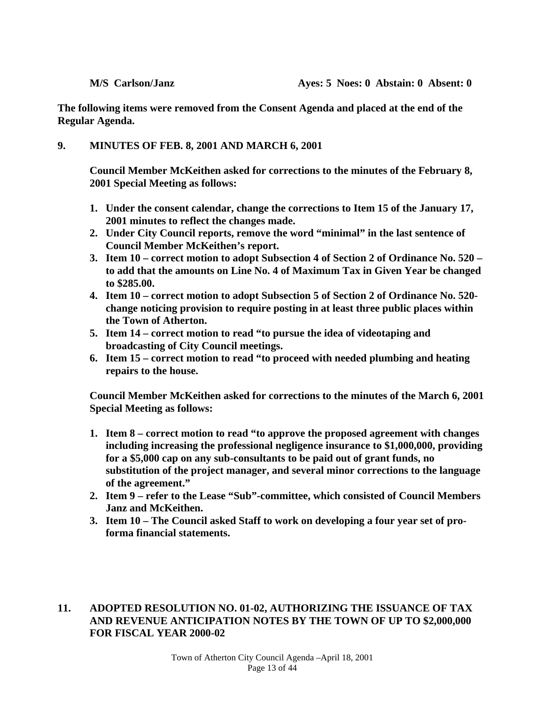**The following items were removed from the Consent Agenda and placed at the end of the Regular Agenda.** 

### **9. MINUTES OF FEB. 8, 2001 AND MARCH 6, 2001**

 **Council Member McKeithen asked for corrections to the minutes of the February 8, 2001 Special Meeting as follows:** 

- **1. Under the consent calendar, change the corrections to Item 15 of the January 17, 2001 minutes to reflect the changes made.**
- **2. Under City Council reports, remove the word "minimal" in the last sentence of Council Member McKeithen's report.**
- **3. Item 10 correct motion to adopt Subsection 4 of Section 2 of Ordinance No. 520 to add that the amounts on Line No. 4 of Maximum Tax in Given Year be changed to \$285.00.**
- **4. Item 10 correct motion to adopt Subsection 5 of Section 2 of Ordinance No. 520 change noticing provision to require posting in at least three public places within the Town of Atherton.**
- **5. Item 14 correct motion to read "to pursue the idea of videotaping and broadcasting of City Council meetings.**
- **6. Item 15 correct motion to read "to proceed with needed plumbing and heating repairs to the house.**

 **Council Member McKeithen asked for corrections to the minutes of the March 6, 2001 Special Meeting as follows:** 

- **1. Item 8 correct motion to read "to approve the proposed agreement with changes including increasing the professional negligence insurance to \$1,000,000, providing for a \$5,000 cap on any sub-consultants to be paid out of grant funds, no substitution of the project manager, and several minor corrections to the language of the agreement."**
- **2. Item 9 refer to the Lease "Sub"-committee, which consisted of Council Members Janz and McKeithen.**
- **3. Item 10 The Council asked Staff to work on developing a four year set of proforma financial statements.**

## **11. ADOPTED RESOLUTION NO. 01-02, AUTHORIZING THE ISSUANCE OF TAX AND REVENUE ANTICIPATION NOTES BY THE TOWN OF UP TO \$2,000,000 FOR FISCAL YEAR 2000-02**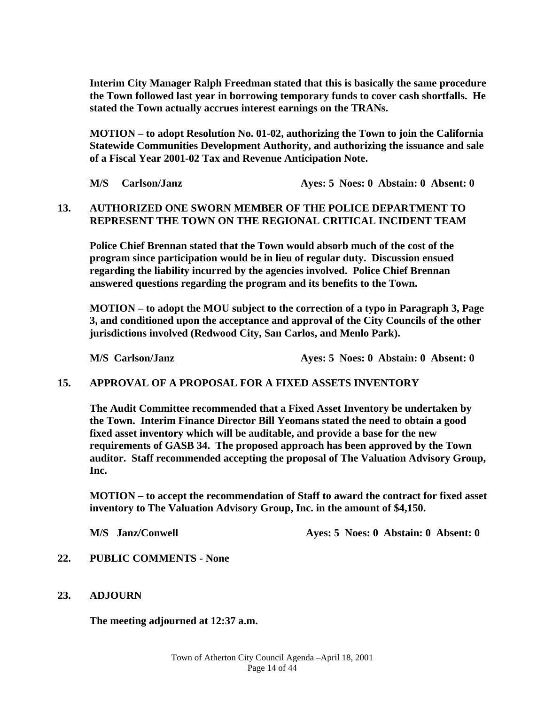**Interim City Manager Ralph Freedman stated that this is basically the same procedure the Town followed last year in borrowing temporary funds to cover cash shortfalls. He stated the Town actually accrues interest earnings on the TRANs.** 

**MOTION – to adopt Resolution No. 01-02, authorizing the Town to join the California Statewide Communities Development Authority, and authorizing the issuance and sale of a Fiscal Year 2001-02 Tax and Revenue Anticipation Note.** 

**M/S Carlson/Janz Ayes: 5 Noes: 0 Abstain: 0 Absent: 0** 

## **13. AUTHORIZED ONE SWORN MEMBER OF THE POLICE DEPARTMENT TO REPRESENT THE TOWN ON THE REGIONAL CRITICAL INCIDENT TEAM**

**Police Chief Brennan stated that the Town would absorb much of the cost of the program since participation would be in lieu of regular duty. Discussion ensued regarding the liability incurred by the agencies involved. Police Chief Brennan answered questions regarding the program and its benefits to the Town.** 

**MOTION – to adopt the MOU subject to the correction of a typo in Paragraph 3, Page 3, and conditioned upon the acceptance and approval of the City Councils of the other jurisdictions involved (Redwood City, San Carlos, and Menlo Park).** 

 **M/S Carlson/Janz Ayes: 5 Noes: 0 Abstain: 0 Absent: 0** 

### **15. APPROVAL OF A PROPOSAL FOR A FIXED ASSETS INVENTORY**

**The Audit Committee recommended that a Fixed Asset Inventory be undertaken by the Town. Interim Finance Director Bill Yeomans stated the need to obtain a good fixed asset inventory which will be auditable, and provide a base for the new requirements of GASB 34. The proposed approach has been approved by the Town auditor. Staff recommended accepting the proposal of The Valuation Advisory Group, Inc.** 

**MOTION – to accept the recommendation of Staff to award the contract for fixed asset inventory to The Valuation Advisory Group, Inc. in the amount of \$4,150.** 

 **M/S** Janz/Conwell **Ayes: 5 Noes: 0 Abstain: 0 Absent: 0** 

- **22. PUBLIC COMMENTS None**
- **23. ADJOURN**

 **The meeting adjourned at 12:37 a.m.**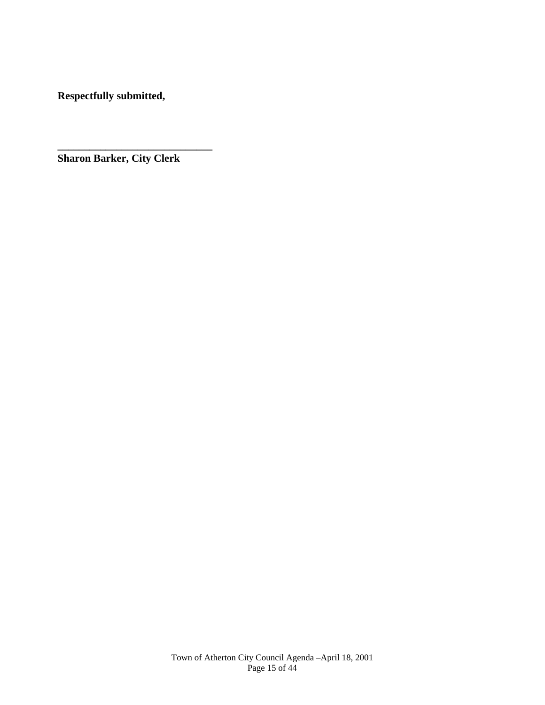**Respectfully submitted,** 

**\_\_\_\_\_\_\_\_\_\_\_\_\_\_\_\_\_\_\_\_\_\_\_\_\_\_\_\_\_ Sharon Barker, City Clerk**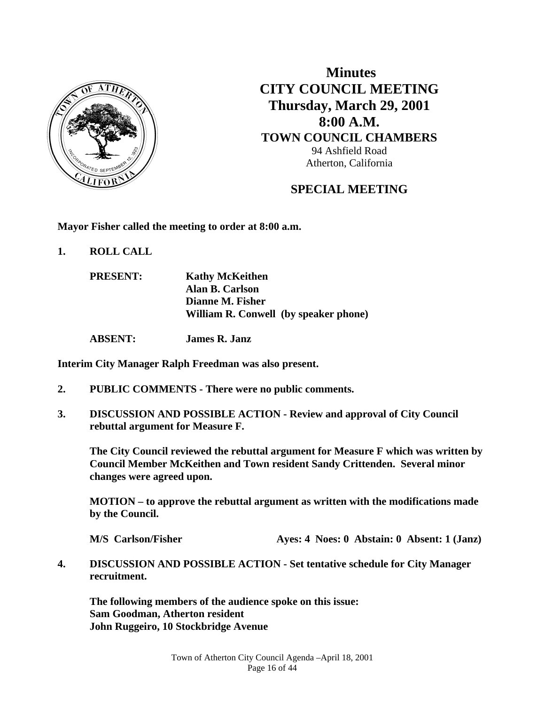

 **Minutes CITY COUNCIL MEETING Thursday, March 29, 2001 8:00 A.M. TOWN COUNCIL CHAMBERS** 94 Ashfield Road Atherton, California

# **SPECIAL MEETING**

**Mayor Fisher called the meeting to order at 8:00 a.m.** 

**1. ROLL CALL** 

| <b>PRESENT:</b> | <b>Kathy McKeithen</b>                |
|-----------------|---------------------------------------|
|                 | Alan B. Carlson                       |
|                 | Dianne M. Fisher                      |
|                 | William R. Conwell (by speaker phone) |
|                 |                                       |

 **ABSENT: James R. Janz** 

**Interim City Manager Ralph Freedman was also present.** 

- **2. PUBLIC COMMENTS There were no public comments.**
- **3. DISCUSSION AND POSSIBLE ACTION Review and approval of City Council rebuttal argument for Measure F.**

 **The City Council reviewed the rebuttal argument for Measure F which was written by Council Member McKeithen and Town resident Sandy Crittenden. Several minor changes were agreed upon.** 

 **MOTION – to approve the rebuttal argument as written with the modifications made by the Council.** 

**M/S** Carlson/Fisher **Ayes: 4 Noes: 0 Abstain: 0 Absent: 1 (Janz)** 

**4. DISCUSSION AND POSSIBLE ACTION - Set tentative schedule for City Manager recruitment.** 

 **The following members of the audience spoke on this issue: Sam Goodman, Atherton resident John Ruggeiro, 10 Stockbridge Avenue**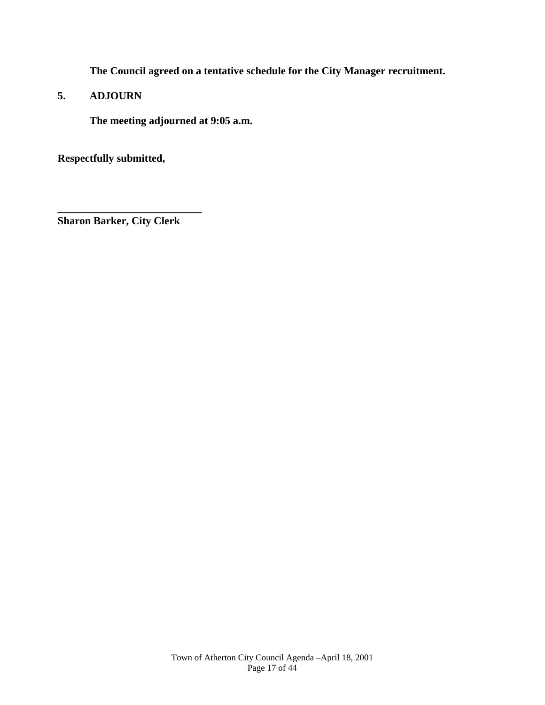**The Council agreed on a tentative schedule for the City Manager recruitment.** 

**5. ADJOURN** 

 **The meeting adjourned at 9:05 a.m.** 

**Respectfully submitted,** 

**Sharon Barker, City Clerk** 

**\_\_\_\_\_\_\_\_\_\_\_\_\_\_\_\_\_\_\_\_\_\_\_\_\_\_\_**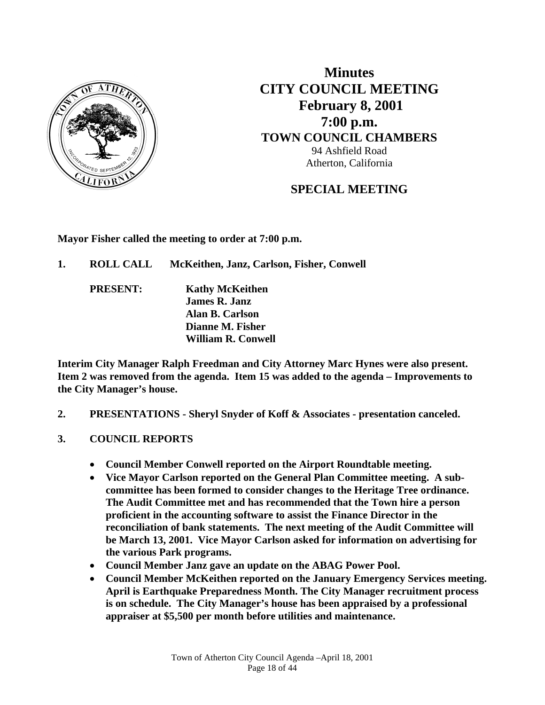

**Minutes CITY COUNCIL MEETING February 8, 2001 7:00 p.m. TOWN COUNCIL CHAMBERS** 94 Ashfield Road Atherton, California

# **SPECIAL MEETING**

**Mayor Fisher called the meeting to order at 7:00 p.m.** 

- **1. ROLL CALL McKeithen, Janz, Carlson, Fisher, Conwell** 
	- **PRESENT: Kathy McKeithen James R. Janz Alan B. Carlson Dianne M. Fisher William R. Conwell**

**Interim City Manager Ralph Freedman and City Attorney Marc Hynes were also present. Item 2 was removed from the agenda. Item 15 was added to the agenda – Improvements to the City Manager's house.** 

- **2. PRESENTATIONS Sheryl Snyder of Koff & Associates presentation canceled.**
- **3. COUNCIL REPORTS** 
	- **Council Member Conwell reported on the Airport Roundtable meeting.**
	- **Vice Mayor Carlson reported on the General Plan Committee meeting. A subcommittee has been formed to consider changes to the Heritage Tree ordinance. The Audit Committee met and has recommended that the Town hire a person proficient in the accounting software to assist the Finance Director in the reconciliation of bank statements. The next meeting of the Audit Committee will be March 13, 2001. Vice Mayor Carlson asked for information on advertising for the various Park programs.**
	- **Council Member Janz gave an update on the ABAG Power Pool.**
	- **Council Member McKeithen reported on the January Emergency Services meeting. April is Earthquake Preparedness Month. The City Manager recruitment process is on schedule. The City Manager's house has been appraised by a professional appraiser at \$5,500 per month before utilities and maintenance.**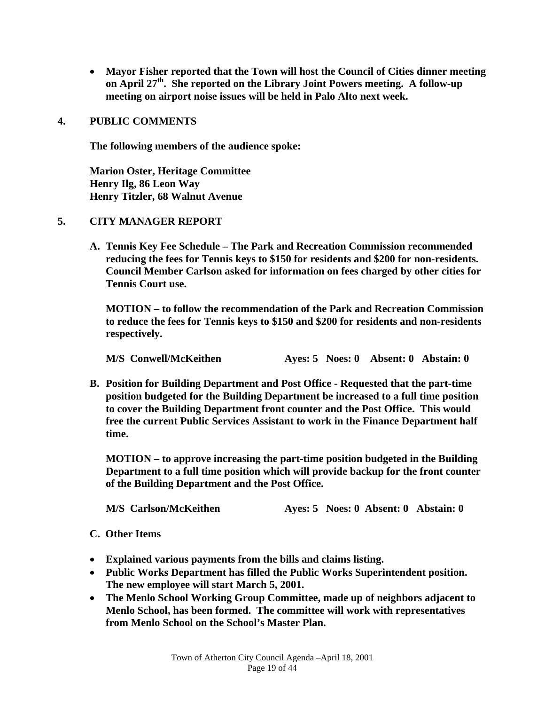**Mayor Fisher reported that the Town will host the Council of Cities dinner meeting on April 27th. She reported on the Library Joint Powers meeting. A follow-up meeting on airport noise issues will be held in Palo Alto next week.** 

### **4. PUBLIC COMMENTS**

**The following members of the audience spoke:** 

**Marion Oster, Heritage Committee Henry Ilg, 86 Leon Way Henry Titzler, 68 Walnut Avenue** 

### **5. CITY MANAGER REPORT**

**A. Tennis Key Fee Schedule – The Park and Recreation Commission recommended reducing the fees for Tennis keys to \$150 for residents and \$200 for non-residents. Council Member Carlson asked for information on fees charged by other cities for Tennis Court use.** 

 **MOTION – to follow the recommendation of the Park and Recreation Commission to reduce the fees for Tennis keys to \$150 and \$200 for residents and non-residents respectively.** 

 **M/S Conwell/McKeithen Ayes: 5 Noes: 0 Absent: 0 Abstain: 0** 

**B. Position for Building Department and Post Office - Requested that the part-time position budgeted for the Building Department be increased to a full time position to cover the Building Department front counter and the Post Office. This would free the current Public Services Assistant to work in the Finance Department half time.** 

 **MOTION – to approve increasing the part-time position budgeted in the Building Department to a full time position which will provide backup for the front counter of the Building Department and the Post Office.** 

 **M/S Carlson/McKeithen Ayes: 5 Noes: 0 Absent: 0 Abstain: 0** 

#### **C. Other Items**

- **Explained various payments from the bills and claims listing.**
- **Public Works Department has filled the Public Works Superintendent position. The new employee will start March 5, 2001.**
- **The Menlo School Working Group Committee, made up of neighbors adjacent to Menlo School, has been formed. The committee will work with representatives from Menlo School on the School's Master Plan.**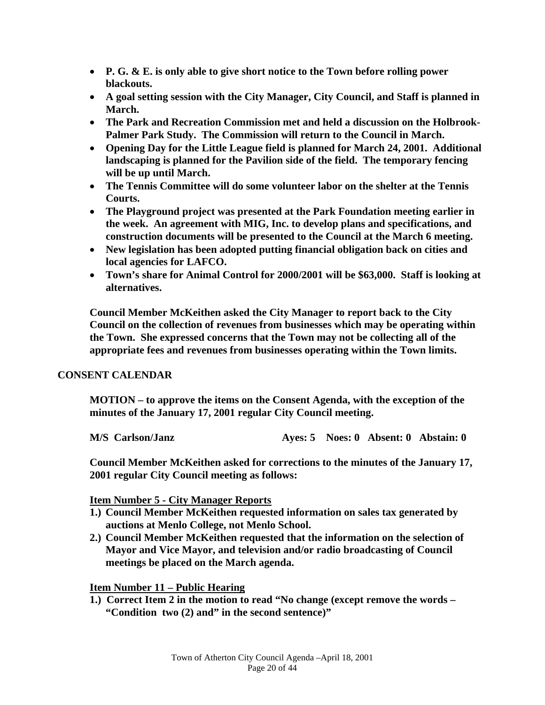- **P. G. & E. is only able to give short notice to the Town before rolling power blackouts.**
- **A goal setting session with the City Manager, City Council, and Staff is planned in March.**
- **The Park and Recreation Commission met and held a discussion on the Holbrook-Palmer Park Study. The Commission will return to the Council in March.**
- **Opening Day for the Little League field is planned for March 24, 2001. Additional landscaping is planned for the Pavilion side of the field. The temporary fencing will be up until March.**
- **The Tennis Committee will do some volunteer labor on the shelter at the Tennis Courts.**
- **The Playground project was presented at the Park Foundation meeting earlier in the week. An agreement with MIG, Inc. to develop plans and specifications, and construction documents will be presented to the Council at the March 6 meeting.**
- **New legislation has been adopted putting financial obligation back on cities and local agencies for LAFCO.**
- **Town's share for Animal Control for 2000/2001 will be \$63,000. Staff is looking at alternatives.**

 **Council Member McKeithen asked the City Manager to report back to the City Council on the collection of revenues from businesses which may be operating within the Town. She expressed concerns that the Town may not be collecting all of the appropriate fees and revenues from businesses operating within the Town limits.** 

## **CONSENT CALENDAR**

 **MOTION – to approve the items on the Consent Agenda, with the exception of the minutes of the January 17, 2001 regular City Council meeting.** 

 **M/S Carlson/Janz Ayes: 5 Noes: 0 Absent: 0 Abstain: 0** 

**Council Member McKeithen asked for corrections to the minutes of the January 17, 2001 regular City Council meeting as follows:** 

## **Item Number 5 - City Manager Reports**

- **1.) Council Member McKeithen requested information on sales tax generated by auctions at Menlo College, not Menlo School.**
- **2.) Council Member McKeithen requested that the information on the selection of Mayor and Vice Mayor, and television and/or radio broadcasting of Council meetings be placed on the March agenda.**

**Item Number 11 – Public Hearing**

**1.) Correct Item 2 in the motion to read "No change (except remove the words – "Condition two (2) and" in the second sentence)"**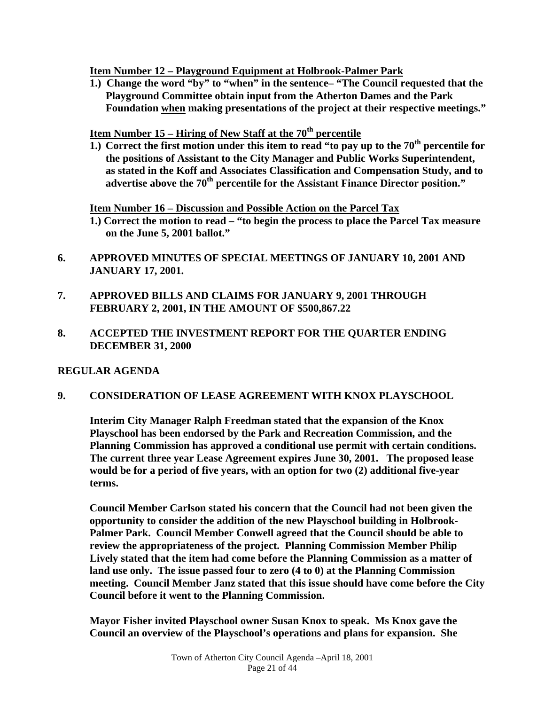**Item Number 12 – Playground Equipment at Holbrook-Palmer Park**

**1.) Change the word "by" to "when" in the sentence– "The Council requested that the Playground Committee obtain input from the Atherton Dames and the Park Foundation when making presentations of the project at their respective meetings."** 

 **Item Number 15 – Hiring of New Staff at the 70th percentile**

**1.) Correct the first motion under this item to read "to pay up to the 70th percentile for the positions of Assistant to the City Manager and Public Works Superintendent, as stated in the Koff and Associates Classification and Compensation Study, and to advertise above the 70th percentile for the Assistant Finance Director position."** 

**Item Number 16 – Discussion and Possible Action on the Parcel Tax**

 **1.) Correct the motion to read – "to begin the process to place the Parcel Tax measure on the June 5, 2001 ballot."** 

- **6. APPROVED MINUTES OF SPECIAL MEETINGS OF JANUARY 10, 2001 AND JANUARY 17, 2001.**
- **7. APPROVED BILLS AND CLAIMS FOR JANUARY 9, 2001 THROUGH FEBRUARY 2, 2001, IN THE AMOUNT OF \$500,867.22**
- **8. ACCEPTED THE INVESTMENT REPORT FOR THE QUARTER ENDING DECEMBER 31, 2000**

## **REGULAR AGENDA**

## **9. CONSIDERATION OF LEASE AGREEMENT WITH KNOX PLAYSCHOOL**

 **Interim City Manager Ralph Freedman stated that the expansion of the Knox Playschool has been endorsed by the Park and Recreation Commission, and the Planning Commission has approved a conditional use permit with certain conditions. The current three year Lease Agreement expires June 30, 2001. The proposed lease would be for a period of five years, with an option for two (2) additional five-year terms.** 

 **Council Member Carlson stated his concern that the Council had not been given the opportunity to consider the addition of the new Playschool building in Holbrook-Palmer Park. Council Member Conwell agreed that the Council should be able to review the appropriateness of the project. Planning Commission Member Philip Lively stated that the item had come before the Planning Commission as a matter of land use only. The issue passed four to zero (4 to 0) at the Planning Commission meeting. Council Member Janz stated that this issue should have come before the City Council before it went to the Planning Commission.** 

 **Mayor Fisher invited Playschool owner Susan Knox to speak. Ms Knox gave the Council an overview of the Playschool's operations and plans for expansion. She**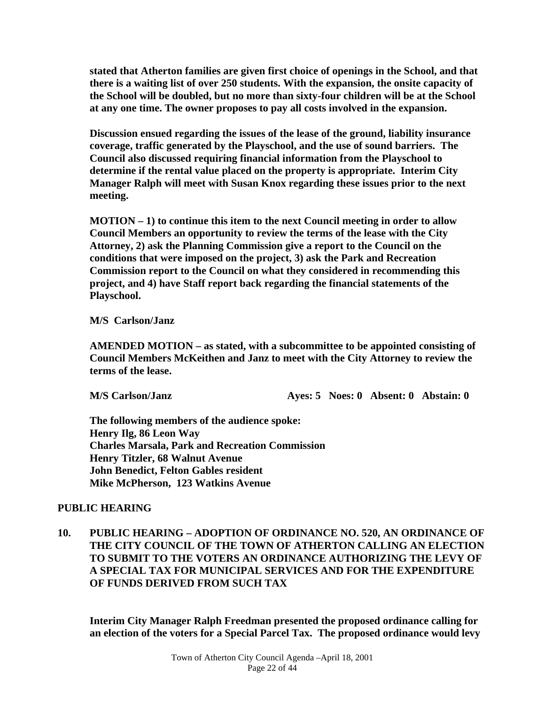**stated that Atherton families are given first choice of openings in the School, and that there is a waiting list of over 250 students. With the expansion, the onsite capacity of the School will be doubled, but no more than sixty-four children will be at the School at any one time. The owner proposes to pay all costs involved in the expansion.** 

 **Discussion ensued regarding the issues of the lease of the ground, liability insurance coverage, traffic generated by the Playschool, and the use of sound barriers. The Council also discussed requiring financial information from the Playschool to determine if the rental value placed on the property is appropriate. Interim City Manager Ralph will meet with Susan Knox regarding these issues prior to the next meeting.** 

 **MOTION – 1) to continue this item to the next Council meeting in order to allow Council Members an opportunity to review the terms of the lease with the City Attorney, 2) ask the Planning Commission give a report to the Council on the conditions that were imposed on the project, 3) ask the Park and Recreation Commission report to the Council on what they considered in recommending this project, and 4) have Staff report back regarding the financial statements of the Playschool.** 

 **M/S Carlson/Janz** 

 **AMENDED MOTION – as stated, with a subcommittee to be appointed consisting of Council Members McKeithen and Janz to meet with the City Attorney to review the terms of the lease.** 

 **M/S Carlson/Janz Ayes: 5 Noes: 0 Absent: 0 Abstain: 0** 

 **The following members of the audience spoke: Henry Ilg, 86 Leon Way Charles Marsala, Park and Recreation Commission Henry Titzler, 68 Walnut Avenue John Benedict, Felton Gables resident Mike McPherson, 123 Watkins Avenue** 

## **PUBLIC HEARING**

**10. PUBLIC HEARING – ADOPTION OF ORDINANCE NO. 520, AN ORDINANCE OF THE CITY COUNCIL OF THE TOWN OF ATHERTON CALLING AN ELECTION TO SUBMIT TO THE VOTERS AN ORDINANCE AUTHORIZING THE LEVY OF A SPECIAL TAX FOR MUNICIPAL SERVICES AND FOR THE EXPENDITURE OF FUNDS DERIVED FROM SUCH TAX** 

 **Interim City Manager Ralph Freedman presented the proposed ordinance calling for an election of the voters for a Special Parcel Tax. The proposed ordinance would levy**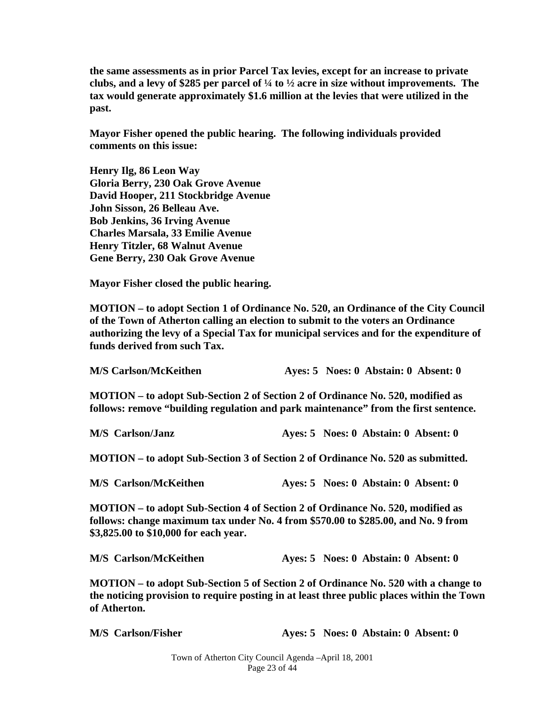**the same assessments as in prior Parcel Tax levies, except for an increase to private clubs, and a levy of \$285 per parcel of ¼ to ½ acre in size without improvements. The tax would generate approximately \$1.6 million at the levies that were utilized in the past.** 

 **Mayor Fisher opened the public hearing. The following individuals provided comments on this issue:** 

 **Henry Ilg, 86 Leon Way Gloria Berry, 230 Oak Grove Avenue David Hooper, 211 Stockbridge Avenue John Sisson, 26 Belleau Ave. Bob Jenkins, 36 Irving Avenue Charles Marsala, 33 Emilie Avenue Henry Titzler, 68 Walnut Avenue Gene Berry, 230 Oak Grove Avenue** 

 **Mayor Fisher closed the public hearing.** 

 **MOTION – to adopt Section 1 of Ordinance No. 520, an Ordinance of the City Council of the Town of Atherton calling an election to submit to the voters an Ordinance authorizing the levy of a Special Tax for municipal services and for the expenditure of funds derived from such Tax.** 

| <b>M/S Carlson/McKeithen</b> | Aves: 5 Noes: 0 Abstain: 0 Absent: 0 |
|------------------------------|--------------------------------------|
|------------------------------|--------------------------------------|

 **MOTION – to adopt Sub-Section 2 of Section 2 of Ordinance No. 520, modified as follows: remove "building regulation and park maintenance" from the first sentence.** 

 **M/S Carlson/Janz Ayes: 5 Noes: 0 Abstain: 0 Absent: 0** 

 **MOTION – to adopt Sub-Section 3 of Section 2 of Ordinance No. 520 as submitted.** 

 **M/S Carlson/McKeithen Ayes: 5 Noes: 0 Abstain: 0 Absent: 0** 

 **MOTION – to adopt Sub-Section 4 of Section 2 of Ordinance No. 520, modified as follows: change maximum tax under No. 4 from \$570.00 to \$285.00, and No. 9 from \$3,825.00 to \$10,000 for each year.** 

 **MOTION – to adopt Sub-Section 5 of Section 2 of Ordinance No. 520 with a change to the noticing provision to require posting in at least three public places within the Town of Atherton.** 

 **M/S** Carlson/Fisher **Ayes: 5 Noes: 0 Abstain: 0 Absent: 0**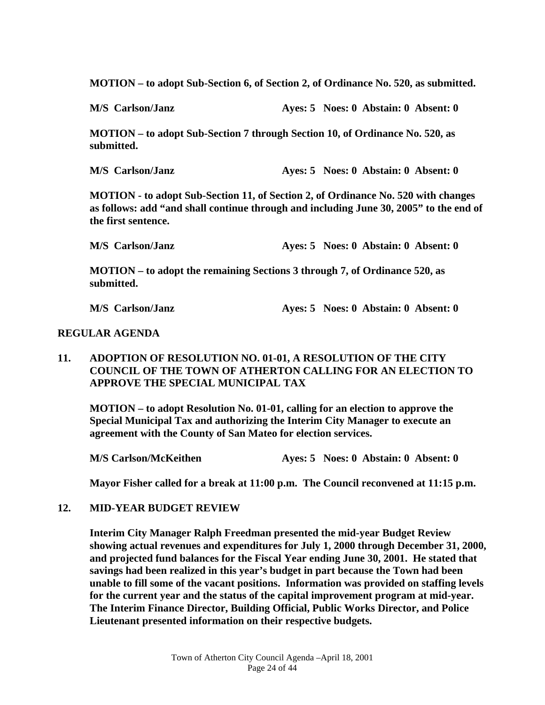**MOTION – to adopt Sub-Section 6, of Section 2, of Ordinance No. 520, as submitted.** 

 **M/S Carlson/Janz Ayes: 5 Noes: 0 Abstain: 0 Absent: 0** 

 **MOTION – to adopt Sub-Section 7 through Section 10, of Ordinance No. 520, as submitted.** 

 **M/S Carlson/Janz Ayes: 5 Noes: 0 Abstain: 0 Absent: 0** 

 **MOTION - to adopt Sub-Section 11, of Section 2, of Ordinance No. 520 with changes as follows: add "and shall continue through and including June 30, 2005" to the end of the first sentence.** 

 **M/S Carlson/Janz Ayes: 5 Noes: 0 Abstain: 0 Absent: 0** 

 **MOTION – to adopt the remaining Sections 3 through 7, of Ordinance 520, as submitted.** 

 **M/S Carlson/Janz Ayes: 5 Noes: 0 Abstain: 0 Absent: 0** 

### **REGULAR AGENDA**

### **11. ADOPTION OF RESOLUTION NO. 01-01, A RESOLUTION OF THE CITY COUNCIL OF THE TOWN OF ATHERTON CALLING FOR AN ELECTION TO APPROVE THE SPECIAL MUNICIPAL TAX**

 **MOTION – to adopt Resolution No. 01-01, calling for an election to approve the Special Municipal Tax and authorizing the Interim City Manager to execute an agreement with the County of San Mateo for election services.** 

 **M/S Carlson/McKeithen Ayes: 5 Noes: 0 Abstain: 0 Absent: 0** 

 **Mayor Fisher called for a break at 11:00 p.m. The Council reconvened at 11:15 p.m.** 

### **12. MID-YEAR BUDGET REVIEW**

 **Interim City Manager Ralph Freedman presented the mid-year Budget Review showing actual revenues and expenditures for July 1, 2000 through December 31, 2000, and projected fund balances for the Fiscal Year ending June 30, 2001. He stated that savings had been realized in this year's budget in part because the Town had been unable to fill some of the vacant positions. Information was provided on staffing levels for the current year and the status of the capital improvement program at mid-year. The Interim Finance Director, Building Official, Public Works Director, and Police Lieutenant presented information on their respective budgets.**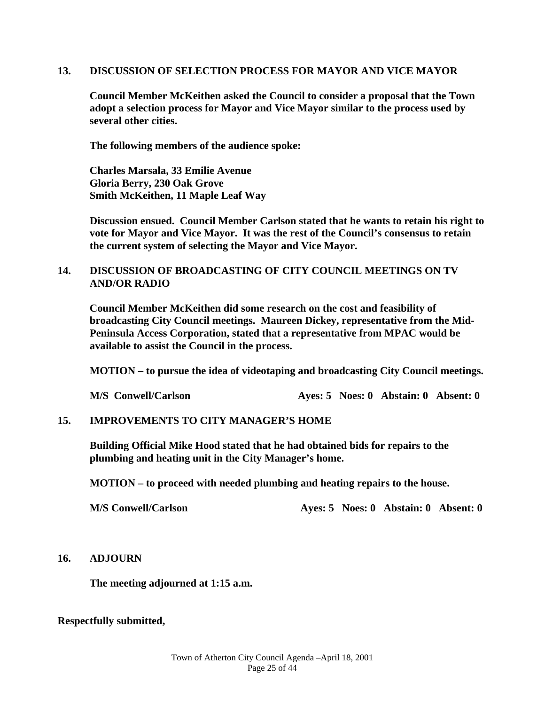### **13. DISCUSSION OF SELECTION PROCESS FOR MAYOR AND VICE MAYOR**

 **Council Member McKeithen asked the Council to consider a proposal that the Town adopt a selection process for Mayor and Vice Mayor similar to the process used by several other cities.** 

 **The following members of the audience spoke:** 

 **Charles Marsala, 33 Emilie Avenue Gloria Berry, 230 Oak Grove Smith McKeithen, 11 Maple Leaf Way** 

 **Discussion ensued. Council Member Carlson stated that he wants to retain his right to vote for Mayor and Vice Mayor. It was the rest of the Council's consensus to retain the current system of selecting the Mayor and Vice Mayor.** 

## **14. DISCUSSION OF BROADCASTING OF CITY COUNCIL MEETINGS ON TV AND/OR RADIO**

 **Council Member McKeithen did some research on the cost and feasibility of broadcasting City Council meetings. Maureen Dickey, representative from the Mid-Peninsula Access Corporation, stated that a representative from MPAC would be available to assist the Council in the process.** 

 **MOTION – to pursue the idea of videotaping and broadcasting City Council meetings.** 

**M/S** Conwell/Carlson **Ayes: 5 Noes: 0 Abstain: 0 Absent: 0** 

### **15. IMPROVEMENTS TO CITY MANAGER'S HOME**

**Building Official Mike Hood stated that he had obtained bids for repairs to the plumbing and heating unit in the City Manager's home.** 

**MOTION – to proceed with needed plumbing and heating repairs to the house.** 

**M/S Conwell/Carlson Ayes: 5 Noes: 0 Abstain: 0 Absent: 0** 

### **16. ADJOURN**

 **The meeting adjourned at 1:15 a.m.** 

### **Respectfully submitted,**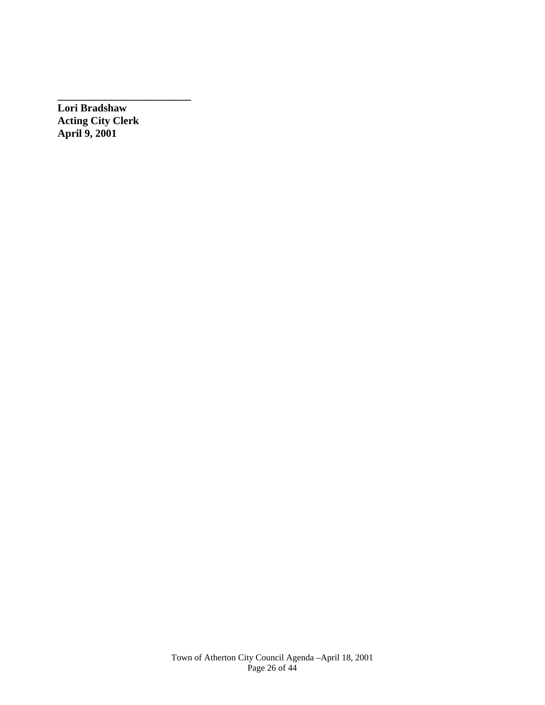**Lori Bradshaw Acting City Clerk April 9, 2001** 

**\_\_\_\_\_\_\_\_\_\_\_\_\_\_\_\_\_\_\_\_\_\_\_\_\_**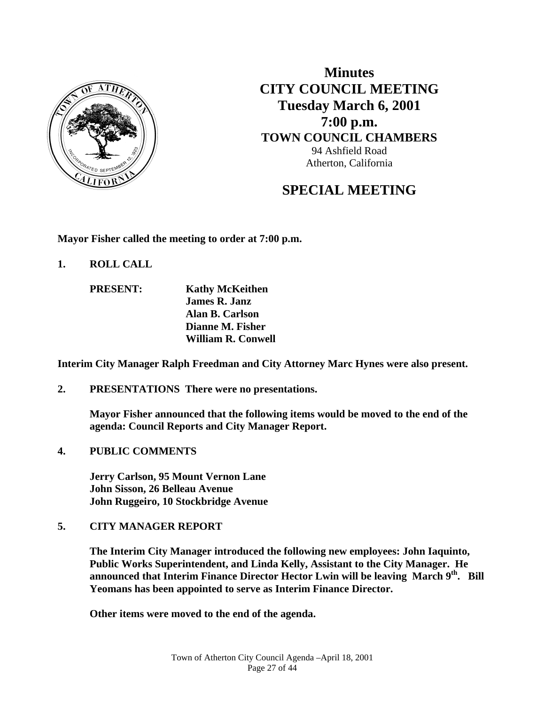

**Minutes CITY COUNCIL MEETING Tuesday March 6, 2001 7:00 p.m. TOWN COUNCIL CHAMBERS** 94 Ashfield Road Atherton, California

# **SPECIAL MEETING**

**Mayor Fisher called the meeting to order at 7:00 p.m.** 

**1. ROLL CALL** 

 **PRESENT: Kathy McKeithen James R. Janz Alan B. Carlson Dianne M. Fisher William R. Conwell** 

**Interim City Manager Ralph Freedman and City Attorney Marc Hynes were also present.** 

**2. PRESENTATIONS There were no presentations.** 

**Mayor Fisher announced that the following items would be moved to the end of the agenda: Council Reports and City Manager Report.** 

**4. PUBLIC COMMENTS** 

 **Jerry Carlson, 95 Mount Vernon Lane John Sisson, 26 Belleau Avenue John Ruggeiro, 10 Stockbridge Avenue** 

### **5. CITY MANAGER REPORT**

**The Interim City Manager introduced the following new employees: John Iaquinto, Public Works Superintendent, and Linda Kelly, Assistant to the City Manager. He announced that Interim Finance Director Hector Lwin will be leaving March 9th. Bill Yeomans has been appointed to serve as Interim Finance Director.** 

 **Other items were moved to the end of the agenda.**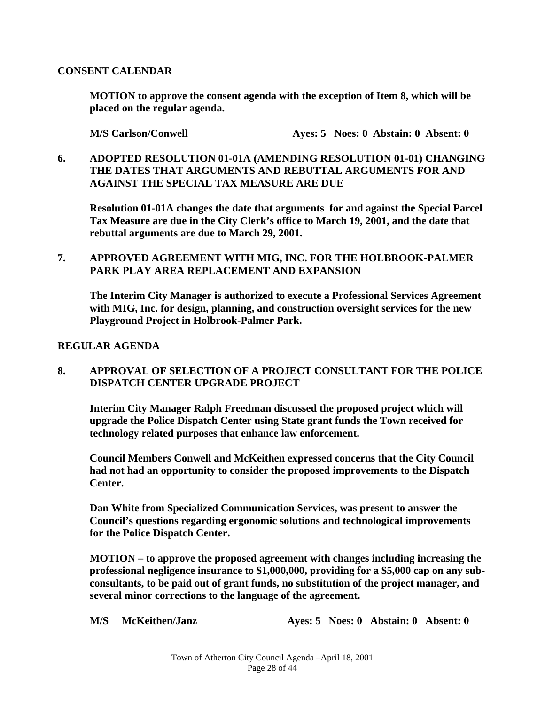### **CONSENT CALENDAR**

 **MOTION to approve the consent agenda with the exception of Item 8, which will be placed on the regular agenda.** 

 **M/S Carlson/Conwell Ayes: 5 Noes: 0 Abstain: 0 Absent: 0** 

## **6. ADOPTED RESOLUTION 01-01A (AMENDING RESOLUTION 01-01) CHANGING THE DATES THAT ARGUMENTS AND REBUTTAL ARGUMENTS FOR AND AGAINST THE SPECIAL TAX MEASURE ARE DUE**

 **Resolution 01-01A changes the date that arguments for and against the Special Parcel Tax Measure are due in the City Clerk's office to March 19, 2001, and the date that rebuttal arguments are due to March 29, 2001.** 

## **7. APPROVED AGREEMENT WITH MIG, INC. FOR THE HOLBROOK-PALMER PARK PLAY AREA REPLACEMENT AND EXPANSION**

 **The Interim City Manager is authorized to execute a Professional Services Agreement with MIG, Inc. for design, planning, and construction oversight services for the new Playground Project in Holbrook-Palmer Park.** 

## **REGULAR AGENDA**

## **8. APPROVAL OF SELECTION OF A PROJECT CONSULTANT FOR THE POLICE DISPATCH CENTER UPGRADE PROJECT**

 **Interim City Manager Ralph Freedman discussed the proposed project which will upgrade the Police Dispatch Center using State grant funds the Town received for technology related purposes that enhance law enforcement.** 

**Council Members Conwell and McKeithen expressed concerns that the City Council had not had an opportunity to consider the proposed improvements to the Dispatch Center.** 

**Dan White from Specialized Communication Services, was present to answer the Council's questions regarding ergonomic solutions and technological improvements for the Police Dispatch Center.** 

 **MOTION – to approve the proposed agreement with changes including increasing the professional negligence insurance to \$1,000,000, providing for a \$5,000 cap on any subconsultants, to be paid out of grant funds, no substitution of the project manager, and several minor corrections to the language of the agreement.** 

 **M/S McKeithen/Janz Ayes: 5 Noes: 0 Abstain: 0 Absent: 0**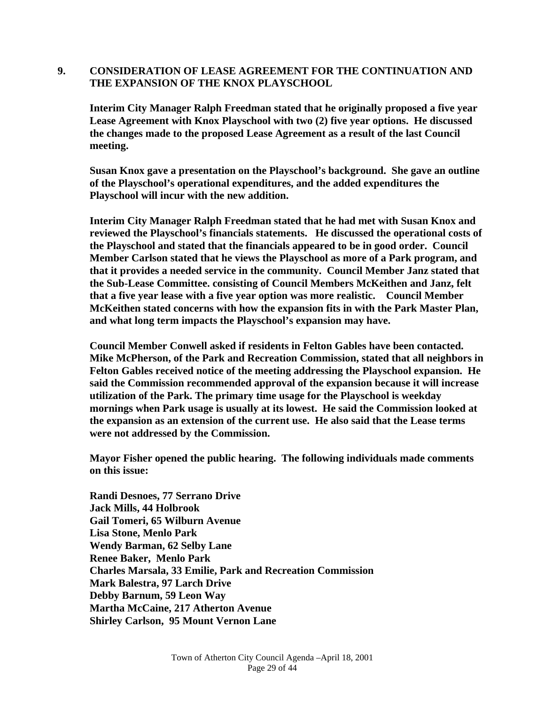### **9. CONSIDERATION OF LEASE AGREEMENT FOR THE CONTINUATION AND THE EXPANSION OF THE KNOX PLAYSCHOOL**

 **Interim City Manager Ralph Freedman stated that he originally proposed a five year Lease Agreement with Knox Playschool with two (2) five year options. He discussed the changes made to the proposed Lease Agreement as a result of the last Council meeting.** 

 **Susan Knox gave a presentation on the Playschool's background. She gave an outline of the Playschool's operational expenditures, and the added expenditures the Playschool will incur with the new addition.** 

 **Interim City Manager Ralph Freedman stated that he had met with Susan Knox and reviewed the Playschool's financials statements. He discussed the operational costs of the Playschool and stated that the financials appeared to be in good order. Council Member Carlson stated that he views the Playschool as more of a Park program, and that it provides a needed service in the community. Council Member Janz stated that the Sub-Lease Committee. consisting of Council Members McKeithen and Janz, felt that a five year lease with a five year option was more realistic. Council Member McKeithen stated concerns with how the expansion fits in with the Park Master Plan, and what long term impacts the Playschool's expansion may have.** 

 **Council Member Conwell asked if residents in Felton Gables have been contacted. Mike McPherson, of the Park and Recreation Commission, stated that all neighbors in Felton Gables received notice of the meeting addressing the Playschool expansion. He said the Commission recommended approval of the expansion because it will increase utilization of the Park. The primary time usage for the Playschool is weekday mornings when Park usage is usually at its lowest. He said the Commission looked at the expansion as an extension of the current use. He also said that the Lease terms were not addressed by the Commission.** 

 **Mayor Fisher opened the public hearing. The following individuals made comments on this issue:** 

 **Randi Desnoes, 77 Serrano Drive Jack Mills, 44 Holbrook Gail Tomeri, 65 Wilburn Avenue Lisa Stone, Menlo Park Wendy Barman, 62 Selby Lane Renee Baker, Menlo Park Charles Marsala, 33 Emilie, Park and Recreation Commission Mark Balestra, 97 Larch Drive Debby Barnum, 59 Leon Way Martha McCaine, 217 Atherton Avenue Shirley Carlson, 95 Mount Vernon Lane**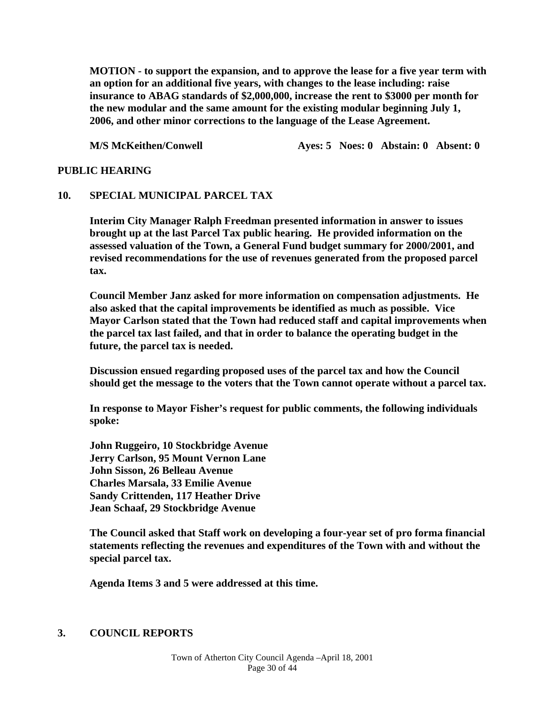**MOTION - to support the expansion, and to approve the lease for a five year term with an option for an additional five years, with changes to the lease including: raise insurance to ABAG standards of \$2,000,000, increase the rent to \$3000 per month for the new modular and the same amount for the existing modular beginning July 1, 2006, and other minor corrections to the language of the Lease Agreement.** 

**M/S McKeithen/Conwell Ayes: 5 Noes: 0 Abstain: 0 Absent: 0** 

### **PUBLIC HEARING**

#### **10. SPECIAL MUNICIPAL PARCEL TAX**

 **Interim City Manager Ralph Freedman presented information in answer to issues brought up at the last Parcel Tax public hearing. He provided information on the assessed valuation of the Town, a General Fund budget summary for 2000/2001, and revised recommendations for the use of revenues generated from the proposed parcel tax.** 

 **Council Member Janz asked for more information on compensation adjustments. He also asked that the capital improvements be identified as much as possible. Vice Mayor Carlson stated that the Town had reduced staff and capital improvements when the parcel tax last failed, and that in order to balance the operating budget in the future, the parcel tax is needed.** 

 **Discussion ensued regarding proposed uses of the parcel tax and how the Council should get the message to the voters that the Town cannot operate without a parcel tax.** 

 **In response to Mayor Fisher's request for public comments, the following individuals spoke:** 

 **John Ruggeiro, 10 Stockbridge Avenue Jerry Carlson, 95 Mount Vernon Lane John Sisson, 26 Belleau Avenue Charles Marsala, 33 Emilie Avenue Sandy Crittenden, 117 Heather Drive Jean Schaaf, 29 Stockbridge Avenue** 

 **The Council asked that Staff work on developing a four-year set of pro forma financial statements reflecting the revenues and expenditures of the Town with and without the special parcel tax.** 

 **Agenda Items 3 and 5 were addressed at this time.** 

### **3. COUNCIL REPORTS**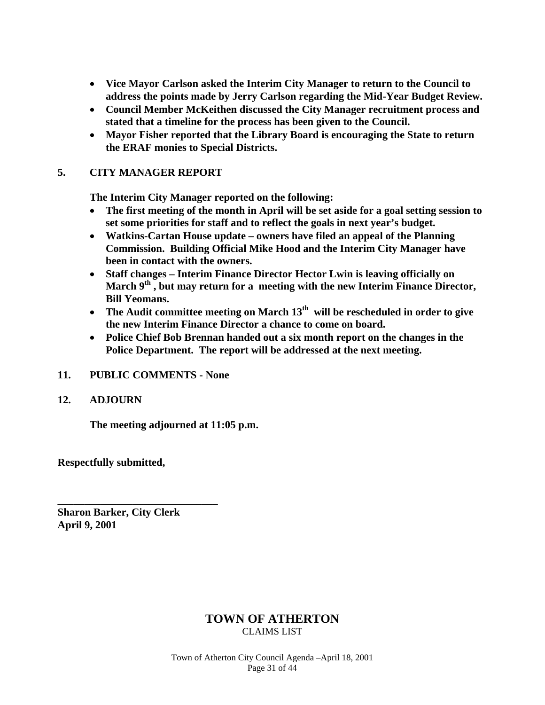- **Vice Mayor Carlson asked the Interim City Manager to return to the Council to address the points made by Jerry Carlson regarding the Mid-Year Budget Review.**
- **Council Member McKeithen discussed the City Manager recruitment process and stated that a timeline for the process has been given to the Council.**
- **Mayor Fisher reported that the Library Board is encouraging the State to return the ERAF monies to Special Districts.**

## **5. CITY MANAGER REPORT**

**The Interim City Manager reported on the following:** 

- **The first meeting of the month in April will be set aside for a goal setting session to set some priorities for staff and to reflect the goals in next year's budget.**
- **Watkins-Cartan House update owners have filed an appeal of the Planning Commission. Building Official Mike Hood and the Interim City Manager have been in contact with the owners.**
- **Staff changes Interim Finance Director Hector Lwin is leaving officially on**  March 9<sup>th</sup>, but may return for a meeting with the new Interim Finance Director, **Bill Yeomans.**
- The Audit committee meeting on March 13<sup>th</sup> will be rescheduled in order to give **the new Interim Finance Director a chance to come on board.**
- **Police Chief Bob Brennan handed out a six month report on the changes in the Police Department. The report will be addressed at the next meeting.**
- **11. PUBLIC COMMENTS None**
- **12. ADJOURN**

**The meeting adjourned at 11:05 p.m.** 

**Respectfully submitted,** 

**Sharon Barker, City Clerk April 9, 2001** 

**\_\_\_\_\_\_\_\_\_\_\_\_\_\_\_\_\_\_\_\_\_\_\_\_\_\_\_\_\_\_** 

## **TOWN OF ATHERTON**  CLAIMS LIST

Town of Atherton City Council Agenda –April 18, 2001 Page 31 of 44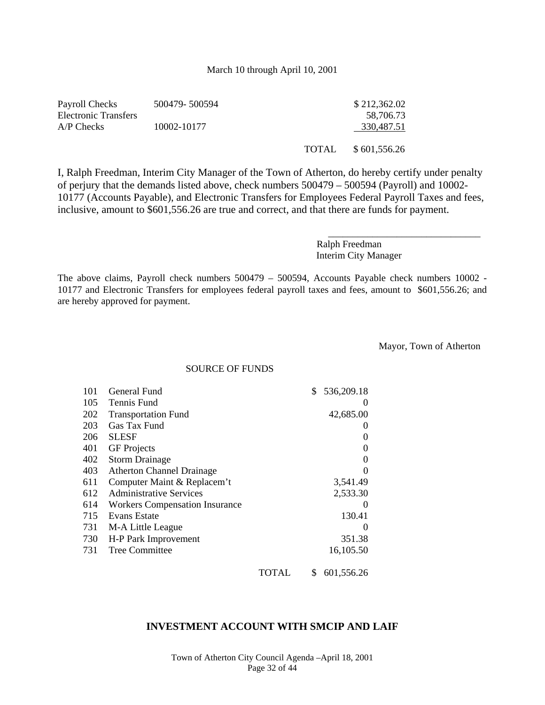#### March 10 through April 10, 2001

| Payroll Checks       | 500479-500594 |              | \$212,362.02 |
|----------------------|---------------|--------------|--------------|
| Electronic Transfers |               |              | 58.706.73    |
| $A/P$ Checks         | 10002-10177   |              | 330,487.51   |
|                      |               | <b>TOTAL</b> | \$601,556.26 |

I, Ralph Freedman, Interim City Manager of the Town of Atherton, do hereby certify under penalty of perjury that the demands listed above, check numbers 500479 – 500594 (Payroll) and 10002- 10177 (Accounts Payable), and Electronic Transfers for Employees Federal Payroll Taxes and fees, inclusive, amount to \$601,556.26 are true and correct, and that there are funds for payment.

> Ralph Freedman Interim City Manager

The above claims, Payroll check numbers 500479 – 500594, Accounts Payable check numbers 10002 - 10177 and Electronic Transfers for employees federal payroll taxes and fees, amount to \$601,556.26; and are hereby approved for payment.

Mayor, Town of Atherton

\_\_\_\_\_\_\_\_\_\_\_\_\_\_\_\_\_\_\_\_\_\_\_\_\_\_\_\_\_\_\_

SOURCE OF FUNDS

| 101 | General Fund                          |       | \$<br>536,209.18  |
|-----|---------------------------------------|-------|-------------------|
| 105 | Tennis Fund                           |       | 0                 |
| 202 | <b>Transportation Fund</b>            |       | 42,685.00         |
| 203 | Gas Tax Fund                          |       |                   |
| 206 | <b>SLESF</b>                          |       | 0                 |
| 401 | <b>GF</b> Projects                    |       | $\Omega$          |
| 402 | <b>Storm Drainage</b>                 |       | 0                 |
| 403 | <b>Atherton Channel Drainage</b>      |       | 0                 |
| 611 | Computer Maint & Replacem't           |       | 3,541.49          |
| 612 | <b>Administrative Services</b>        |       | 2,533.30          |
| 614 | <b>Workers Compensation Insurance</b> |       | $\mathbf{\Omega}$ |
| 715 | Evans Estate                          |       | 130.41            |
| 731 | M-A Little League                     |       |                   |
| 730 | H-P Park Improvement                  |       | 351.38            |
| 731 | <b>Tree Committee</b>                 |       | 16,105.50         |
|     |                                       | TOTAL | \$<br>601,556.26  |

### **INVESTMENT ACCOUNT WITH SMCIP AND LAIF**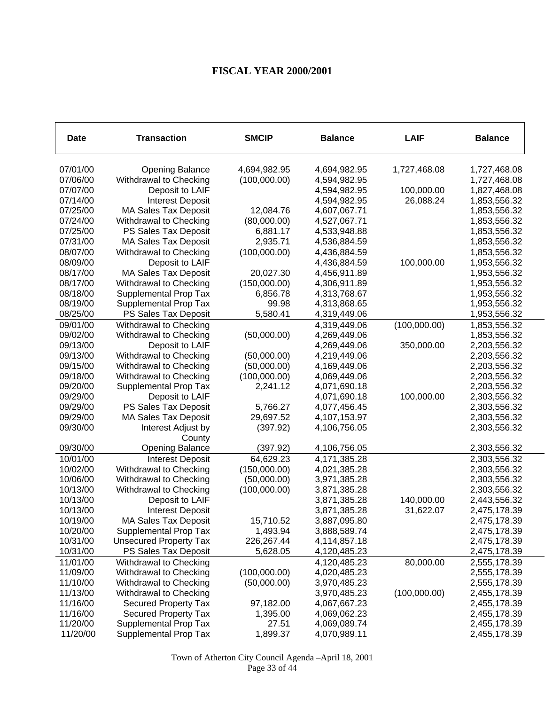# **FISCAL YEAR 2000/2001**

| <b>Date</b>          | <b>Transaction</b>            | <b>SMCIP</b> | <b>Balance</b>               | <b>LAIF</b>  | <b>Balance</b>               |
|----------------------|-------------------------------|--------------|------------------------------|--------------|------------------------------|
| 07/01/00             | <b>Opening Balance</b>        | 4,694,982.95 | 4,694,982.95                 | 1,727,468.08 | 1,727,468.08                 |
| 07/06/00             | Withdrawal to Checking        | (100,000.00) | 4,594,982.95                 |              | 1,727,468.08                 |
| 07/07/00             | Deposit to LAIF               |              | 4,594,982.95                 | 100,000.00   | 1,827,468.08                 |
| 07/14/00             | <b>Interest Deposit</b>       |              | 4,594,982.95                 | 26,088.24    | 1,853,556.32                 |
| 07/25/00             | <b>MA Sales Tax Deposit</b>   | 12,084.76    | 4,607,067.71                 |              | 1,853,556.32                 |
| 07/24/00             | Withdrawal to Checking        | (80,000.00)  | 4,527,067.71                 |              | 1,853,556.32                 |
| 07/25/00             | PS Sales Tax Deposit          | 6,881.17     | 4,533,948.88                 |              | 1,853,556.32                 |
| 07/31/00             | <b>MA Sales Tax Deposit</b>   | 2,935.71     | 4,536,884.59                 |              | 1,853,556.32                 |
| 08/07/00             | Withdrawal to Checking        | (100,000.00) | 4,436,884.59                 |              | 1,853,556.32                 |
| 08/09/00             | Deposit to LAIF               |              | 4,436,884.59                 | 100,000.00   | 1,953,556.32                 |
| 08/17/00             | <b>MA Sales Tax Deposit</b>   | 20,027.30    | 4,456,911.89                 |              | 1,953,556.32                 |
| 08/17/00             | Withdrawal to Checking        | (150,000.00) | 4,306,911.89                 |              | 1,953,556.32                 |
| 08/18/00             | Supplemental Prop Tax         | 6,856.78     | 4,313,768.67                 |              | 1,953,556.32                 |
| 08/19/00             | Supplemental Prop Tax         | 99.98        | 4,313,868.65                 |              | 1,953,556.32                 |
| 08/25/00             | PS Sales Tax Deposit          | 5,580.41     | 4,319,449.06                 |              | 1,953,556.32                 |
| 09/01/00             | Withdrawal to Checking        |              | 4,319,449.06                 | (100,000.00) | 1,853,556.32                 |
| 09/02/00             | Withdrawal to Checking        | (50,000.00)  | 4,269,449.06                 |              | 1,853,556.32                 |
| 09/13/00             | Deposit to LAIF               |              | 4,269,449.06                 | 350,000.00   | 2,203,556.32                 |
| 09/13/00             | Withdrawal to Checking        | (50,000.00)  | 4,219,449.06                 |              | 2,203,556.32                 |
| 09/15/00             | Withdrawal to Checking        | (50,000.00)  | 4,169,449.06                 |              | 2,203,556.32                 |
| 09/18/00             | Withdrawal to Checking        | (100,000.00) | 4,069,449.06                 |              | 2,203,556.32                 |
| 09/20/00             | Supplemental Prop Tax         | 2,241.12     | 4,071,690.18                 |              | 2,203,556.32                 |
| 09/29/00             | Deposit to LAIF               |              | 4,071,690.18                 | 100,000.00   | 2,303,556.32                 |
| 09/29/00             | PS Sales Tax Deposit          | 5,766.27     | 4,077,456.45                 |              | 2,303,556.32                 |
| 09/29/00             | <b>MA Sales Tax Deposit</b>   | 29,697.52    | 4,107,153.97                 |              | 2,303,556.32                 |
| 09/30/00             | Interest Adjust by            | (397.92)     | 4,106,756.05                 |              | 2,303,556.32                 |
|                      | County                        |              |                              |              |                              |
| 09/30/00             | <b>Opening Balance</b>        | (397.92)     | 4,106,756.05                 |              | 2,303,556.32                 |
| 10/01/00             | <b>Interest Deposit</b>       | 64,629.23    | 4,171,385.28                 |              | 2,303,556.32                 |
| 10/02/00             | Withdrawal to Checking        | (150,000.00) | 4,021,385.28                 |              | 2,303,556.32                 |
| 10/06/00             | Withdrawal to Checking        | (50,000.00)  | 3,971,385.28                 |              | 2,303,556.32                 |
| 10/13/00             | Withdrawal to Checking        | (100,000.00) | 3,871,385.28                 |              | 2,303,556.32                 |
| 10/13/00             | Deposit to LAIF               |              | 3,871,385.28                 | 140,000.00   | 2,443,556.32                 |
| 10/13/00             | <b>Interest Deposit</b>       |              | 3,871,385.28                 | 31,622.07    | 2,475,178.39                 |
| 10/19/00             | MA Sales Tax Deposit          | 15,710.52    | 3,887,095.80                 |              | 2,475,178.39                 |
| 10/20/00             | Supplemental Prop Tax         | 1,493.94     | 3,888,589.74                 |              | 2,475,178.39                 |
| 10/31/00             | <b>Unsecured Property Tax</b> | 226,267.44   | 4,114,857.18                 |              | 2,475,178.39                 |
| 10/31/00             | PS Sales Tax Deposit          | 5,628.05     | 4,120,485.23                 |              | 2,475,178.39                 |
| 11/01/00             | Withdrawal to Checking        |              | 4,120,485.23                 | 80,000.00    | 2,555,178.39                 |
| 11/09/00             | Withdrawal to Checking        | (100,000.00) | 4,020,485.23                 |              | 2,555,178.39                 |
| 11/10/00             | Withdrawal to Checking        | (50,000.00)  | 3,970,485.23                 |              | 2,555,178.39                 |
| 11/13/00             | Withdrawal to Checking        |              | 3,970,485.23                 | (100,000.00) | 2,455,178.39                 |
| 11/16/00             | <b>Secured Property Tax</b>   | 97,182.00    | 4,067,667.23                 |              | 2,455,178.39                 |
| 11/16/00             | <b>Secured Property Tax</b>   | 1,395.00     | 4,069,062.23                 |              | 2,455,178.39                 |
| 11/20/00<br>11/20/00 | Supplemental Prop Tax         | 27.51        | 4,069,089.74<br>4,070,989.11 |              | 2,455,178.39<br>2,455,178.39 |
|                      | Supplemental Prop Tax         | 1,899.37     |                              |              |                              |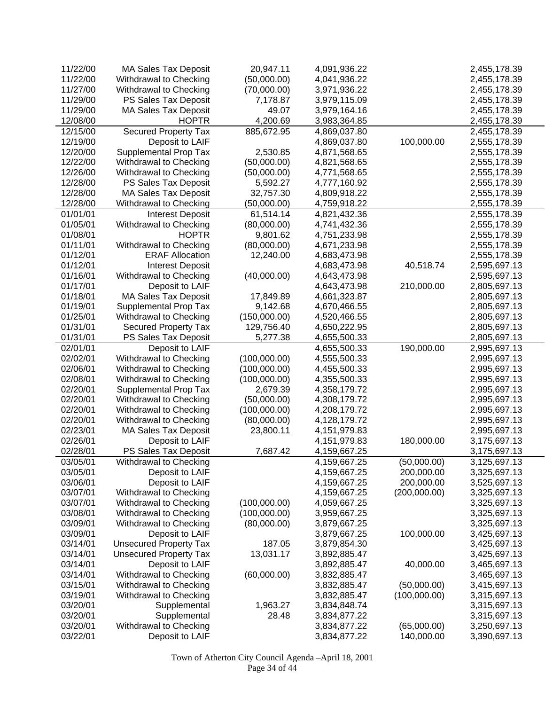| 11/22/00 | <b>MA Sales Tax Deposit</b>   | 20,947.11    | 4,091,936.22 |              | 2,455,178.39 |
|----------|-------------------------------|--------------|--------------|--------------|--------------|
| 11/22/00 | Withdrawal to Checking        | (50,000.00)  | 4,041,936.22 |              | 2,455,178.39 |
| 11/27/00 | Withdrawal to Checking        | (70,000.00)  | 3,971,936.22 |              | 2,455,178.39 |
| 11/29/00 | PS Sales Tax Deposit          | 7,178.87     | 3,979,115.09 |              | 2,455,178.39 |
| 11/29/00 | <b>MA Sales Tax Deposit</b>   | 49.07        | 3,979,164.16 |              | 2,455,178.39 |
| 12/08/00 | <b>HOPTR</b>                  | 4,200.69     | 3,983,364.85 |              | 2,455,178.39 |
| 12/15/00 | <b>Secured Property Tax</b>   | 885,672.95   | 4,869,037.80 |              | 2,455,178.39 |
| 12/19/00 | Deposit to LAIF               |              | 4,869,037.80 | 100,000.00   | 2,555,178.39 |
| 12/20/00 | Supplemental Prop Tax         | 2,530.85     | 4,871,568.65 |              | 2,555,178.39 |
| 12/22/00 | Withdrawal to Checking        | (50,000.00)  | 4,821,568.65 |              | 2,555,178.39 |
| 12/26/00 | Withdrawal to Checking        | (50,000.00)  | 4,771,568.65 |              | 2,555,178.39 |
| 12/28/00 | PS Sales Tax Deposit          | 5,592.27     | 4,777,160.92 |              | 2,555,178.39 |
| 12/28/00 | <b>MA Sales Tax Deposit</b>   | 32,757.30    | 4,809,918.22 |              | 2,555,178.39 |
| 12/28/00 | Withdrawal to Checking        | (50,000.00)  | 4,759,918.22 |              | 2,555,178.39 |
| 01/01/01 | <b>Interest Deposit</b>       | 61,514.14    | 4,821,432.36 |              | 2,555,178.39 |
| 01/05/01 | Withdrawal to Checking        | (80,000.00)  | 4,741,432.36 |              | 2,555,178.39 |
| 01/08/01 | <b>HOPTR</b>                  | 9,801.62     | 4,751,233.98 |              | 2,555,178.39 |
| 01/11/01 | Withdrawal to Checking        | (80,000.00)  | 4,671,233.98 |              | 2,555,178.39 |
| 01/12/01 | <b>ERAF Allocation</b>        | 12,240.00    | 4,683,473.98 |              | 2,555,178.39 |
| 01/12/01 | <b>Interest Deposit</b>       |              | 4,683,473.98 | 40,518.74    | 2,595,697.13 |
| 01/16/01 | Withdrawal to Checking        | (40,000.00)  | 4,643,473.98 |              | 2,595,697.13 |
| 01/17/01 | Deposit to LAIF               |              | 4,643,473.98 | 210,000.00   | 2,805,697.13 |
| 01/18/01 | <b>MA Sales Tax Deposit</b>   | 17,849.89    | 4,661,323.87 |              | 2,805,697.13 |
| 01/19/01 | Supplemental Prop Tax         | 9,142.68     | 4,670,466.55 |              | 2,805,697.13 |
| 01/25/01 | Withdrawal to Checking        | (150,000.00) | 4,520,466.55 |              | 2,805,697.13 |
| 01/31/01 | <b>Secured Property Tax</b>   | 129,756.40   | 4,650,222.95 |              | 2,805,697.13 |
| 01/31/01 | PS Sales Tax Deposit          | 5,277.38     | 4,655,500.33 |              | 2,805,697.13 |
| 02/01/01 | Deposit to LAIF               |              | 4,655,500.33 | 190,000.00   | 2,995,697.13 |
| 02/02/01 | Withdrawal to Checking        | (100,000.00) | 4,555,500.33 |              | 2,995,697.13 |
| 02/06/01 | Withdrawal to Checking        | (100,000.00) | 4,455,500.33 |              | 2,995,697.13 |
| 02/08/01 | Withdrawal to Checking        | (100,000.00) | 4,355,500.33 |              | 2,995,697.13 |
| 02/20/01 | Supplemental Prop Tax         | 2,679.39     | 4,358,179.72 |              | 2,995,697.13 |
| 02/20/01 | Withdrawal to Checking        | (50,000.00)  | 4,308,179.72 |              | 2,995,697.13 |
| 02/20/01 | Withdrawal to Checking        | (100,000.00) | 4,208,179.72 |              | 2,995,697.13 |
| 02/20/01 | Withdrawal to Checking        | (80,000.00)  | 4,128,179.72 |              | 2,995,697.13 |
| 02/23/01 | MA Sales Tax Deposit          | 23,800.11    | 4,151,979.83 |              | 2,995,697.13 |
| 02/26/01 | Deposit to LAIF               |              | 4,151,979.83 | 180,000.00   | 3,175,697.13 |
| 02/28/01 | PS Sales Tax Deposit          | 7,687.42     | 4,159,667.25 |              | 3,175,697.13 |
| 03/05/01 | Withdrawal to Checking        |              | 4,159,667.25 | (50,000.00)  | 3,125,697.13 |
| 03/05/01 | Deposit to LAIF               |              | 4,159,667.25 | 200,000.00   | 3,325,697.13 |
| 03/06/01 | Deposit to LAIF               |              | 4,159,667.25 | 200,000.00   | 3,525,697.13 |
| 03/07/01 | Withdrawal to Checking        |              | 4,159,667.25 | (200,000.00) | 3,325,697.13 |
| 03/07/01 | Withdrawal to Checking        | (100,000.00) | 4,059,667.25 |              | 3,325,697.13 |
| 03/08/01 | Withdrawal to Checking        | (100,000.00) | 3,959,667.25 |              | 3,325,697.13 |
| 03/09/01 | Withdrawal to Checking        | (80,000.00)  | 3,879,667.25 |              | 3,325,697.13 |
| 03/09/01 | Deposit to LAIF               |              | 3,879,667.25 | 100,000.00   | 3,425,697.13 |
| 03/14/01 | <b>Unsecured Property Tax</b> | 187.05       | 3,879,854.30 |              | 3,425,697.13 |
| 03/14/01 | <b>Unsecured Property Tax</b> | 13,031.17    | 3,892,885.47 |              | 3,425,697.13 |
| 03/14/01 | Deposit to LAIF               |              | 3,892,885.47 | 40,000.00    | 3,465,697.13 |
| 03/14/01 | Withdrawal to Checking        | (60,000.00)  | 3,832,885.47 |              | 3,465,697.13 |
| 03/15/01 | Withdrawal to Checking        |              | 3,832,885.47 | (50,000.00)  | 3,415,697.13 |
| 03/19/01 | Withdrawal to Checking        |              | 3,832,885.47 | (100,000.00) | 3,315,697.13 |
| 03/20/01 | Supplemental                  | 1,963.27     | 3,834,848.74 |              | 3,315,697.13 |
| 03/20/01 | Supplemental                  | 28.48        | 3,834,877.22 |              | 3,315,697.13 |
| 03/20/01 | Withdrawal to Checking        |              | 3,834,877.22 | (65,000.00)  | 3,250,697.13 |
| 03/22/01 | Deposit to LAIF               |              | 3,834,877.22 | 140,000.00   | 3,390,697.13 |
|          |                               |              |              |              |              |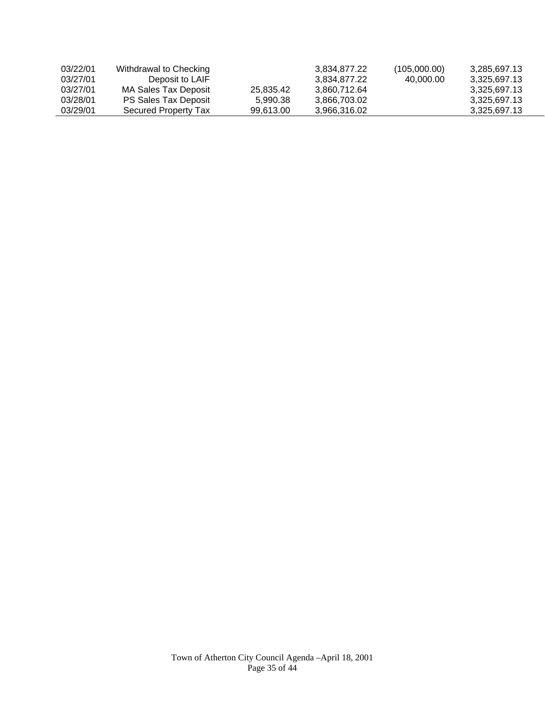| 03/22/01 | Withdrawal to Checking |           | 3.834.877.22 | (105,000.00) | 3.285.697.13 |
|----------|------------------------|-----------|--------------|--------------|--------------|
| 03/27/01 | Deposit to LAIF        |           | 3.834.877.22 | 40.000.00    | 3.325.697.13 |
| 03/27/01 | MA Sales Tax Deposit   | 25.835.42 | 3.860.712.64 |              | 3.325.697.13 |
| 03/28/01 | PS Sales Tax Deposit   | 5.990.38  | 3.866.703.02 |              | 3.325.697.13 |
| 03/29/01 | Secured Property Tax   | 99.613.00 | 3.966.316.02 |              | 3.325.697.13 |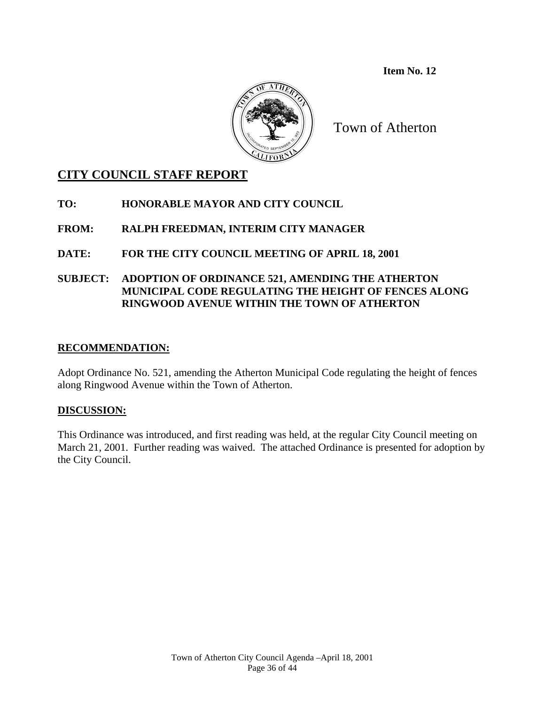**Item No. 12** 



Town of Atherton

# **CITY COUNCIL STAFF REPORT**

**TO: HONORABLE MAYOR AND CITY COUNCIL** 

**FROM: RALPH FREEDMAN, INTERIM CITY MANAGER** 

## **DATE: FOR THE CITY COUNCIL MEETING OF APRIL 18, 2001**

**SUBJECT: ADOPTION OF ORDINANCE 521, AMENDING THE ATHERTON MUNICIPAL CODE REGULATING THE HEIGHT OF FENCES ALONG RINGWOOD AVENUE WITHIN THE TOWN OF ATHERTON** 

## **RECOMMENDATION:**

Adopt Ordinance No. 521, amending the Atherton Municipal Code regulating the height of fences along Ringwood Avenue within the Town of Atherton.

## **DISCUSSION:**

This Ordinance was introduced, and first reading was held, at the regular City Council meeting on March 21, 2001. Further reading was waived. The attached Ordinance is presented for adoption by the City Council.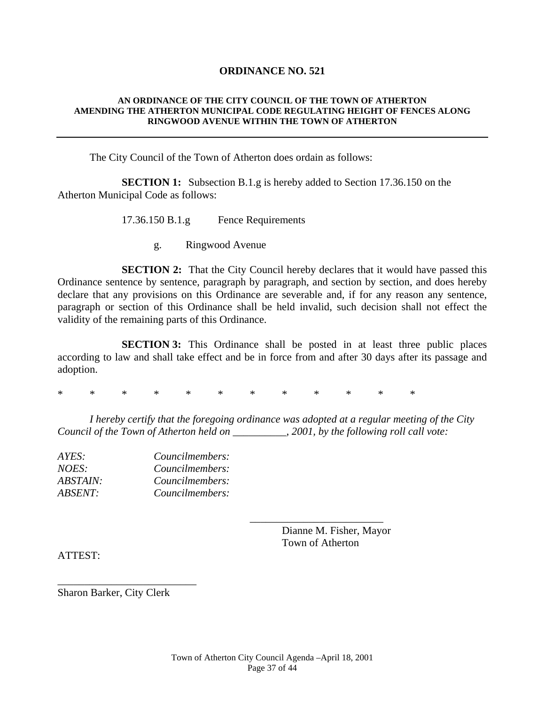### **ORDINANCE NO. 521**

#### **AN ORDINANCE OF THE CITY COUNCIL OF THE TOWN OF ATHERTON AMENDING THE ATHERTON MUNICIPAL CODE REGULATING HEIGHT OF FENCES ALONG RINGWOOD AVENUE WITHIN THE TOWN OF ATHERTON**

The City Council of the Town of Atherton does ordain as follows:

**SECTION 1:** Subsection B.1.g is hereby added to Section 17.36.150 on the Atherton Municipal Code as follows:

17.36.150 B.1.g Fence Requirements

g. Ringwood Avenue

**SECTION 2:** That the City Council hereby declares that it would have passed this Ordinance sentence by sentence, paragraph by paragraph, and section by section, and does hereby declare that any provisions on this Ordinance are severable and, if for any reason any sentence, paragraph or section of this Ordinance shall be held invalid, such decision shall not effect the validity of the remaining parts of this Ordinance.

**SECTION 3:** This Ordinance shall be posted in at least three public places according to law and shall take effect and be in force from and after 30 days after its passage and adoption.

\* \* \* \* \* \* \* \* \* \* \* \*

 $\overline{\phantom{a}}$  , and the contract of the contract of the contract of the contract of the contract of the contract of the contract of the contract of the contract of the contract of the contract of the contract of the contrac

 *I hereby certify that the foregoing ordinance was adopted at a regular meeting of the City Council of the Town of Atherton held on \_\_\_\_\_\_\_\_\_\_, 2001, by the following roll call vote:* 

| AYES:                  | Councilmembers: |
|------------------------|-----------------|
| NOES:                  | Councilmembers: |
| <i><b>ABSTAIN:</b></i> | Councilmembers: |
| <i><b>ABSENT:</b></i>  | Councilmembers: |
|                        |                 |

 Dianne M. Fisher, Mayor Town of Atherton

ATTEST:

Sharon Barker, City Clerk

\_\_\_\_\_\_\_\_\_\_\_\_\_\_\_\_\_\_\_\_\_\_\_\_\_\_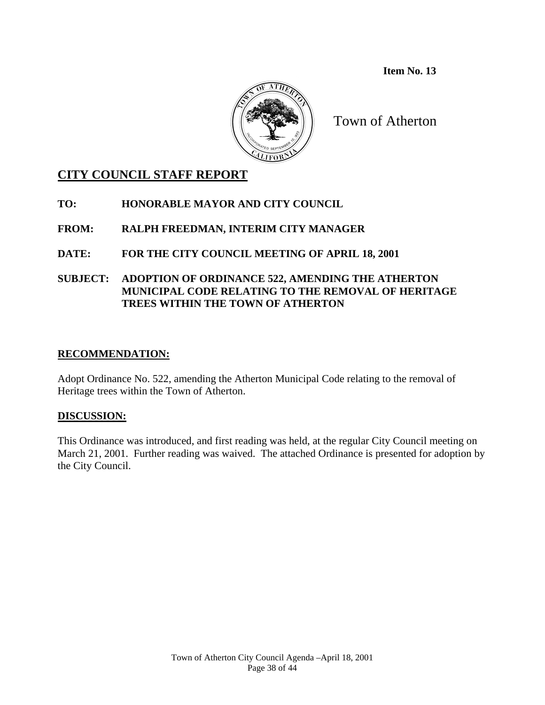**Item No. 13** 



Town of Atherton

# **CITY COUNCIL STAFF REPORT**

**TO: HONORABLE MAYOR AND CITY COUNCIL** 

# **FROM: RALPH FREEDMAN, INTERIM CITY MANAGER**

**DATE: FOR THE CITY COUNCIL MEETING OF APRIL 18, 2001** 

## **SUBJECT: ADOPTION OF ORDINANCE 522, AMENDING THE ATHERTON MUNICIPAL CODE RELATING TO THE REMOVAL OF HERITAGE TREES WITHIN THE TOWN OF ATHERTON**

## **RECOMMENDATION:**

Adopt Ordinance No. 522, amending the Atherton Municipal Code relating to the removal of Heritage trees within the Town of Atherton.

# **DISCUSSION:**

This Ordinance was introduced, and first reading was held, at the regular City Council meeting on March 21, 2001. Further reading was waived. The attached Ordinance is presented for adoption by the City Council.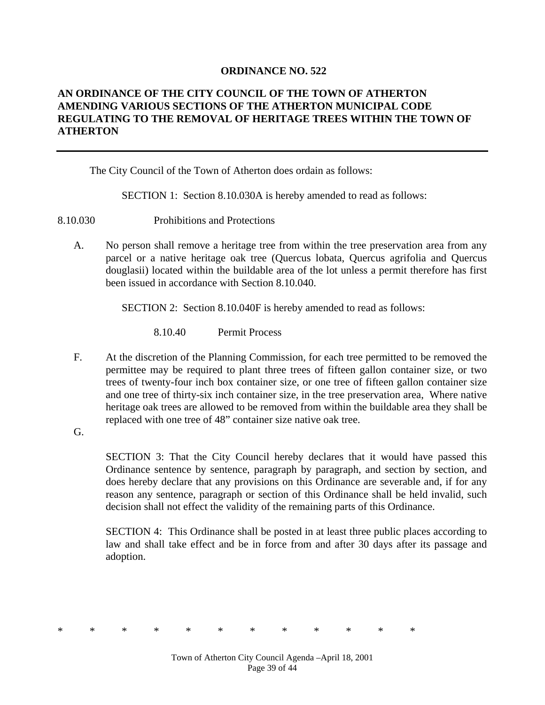### **ORDINANCE NO. 522**

## **AN ORDINANCE OF THE CITY COUNCIL OF THE TOWN OF ATHERTON AMENDING VARIOUS SECTIONS OF THE ATHERTON MUNICIPAL CODE REGULATING TO THE REMOVAL OF HERITAGE TREES WITHIN THE TOWN OF ATHERTON**

The City Council of the Town of Atherton does ordain as follows:

SECTION 1: Section 8.10.030A is hereby amended to read as follows:

8.10.030 Prohibitions and Protections

A. No person shall remove a heritage tree from within the tree preservation area from any parcel or a native heritage oak tree (Quercus lobata, Quercus agrifolia and Quercus douglasii) located within the buildable area of the lot unless a permit therefore has first been issued in accordance with Section 8.10.040.

SECTION 2: Section 8.10.040F is hereby amended to read as follows:

8.10.40 Permit Process

- F. At the discretion of the Planning Commission, for each tree permitted to be removed the permittee may be required to plant three trees of fifteen gallon container size, or two trees of twenty-four inch box container size, or one tree of fifteen gallon container size and one tree of thirty-six inch container size, in the tree preservation area, Where native heritage oak trees are allowed to be removed from within the buildable area they shall be replaced with one tree of 48" container size native oak tree.
- G.

SECTION 3: That the City Council hereby declares that it would have passed this Ordinance sentence by sentence, paragraph by paragraph, and section by section, and does hereby declare that any provisions on this Ordinance are severable and, if for any reason any sentence, paragraph or section of this Ordinance shall be held invalid, such decision shall not effect the validity of the remaining parts of this Ordinance.

SECTION 4: This Ordinance shall be posted in at least three public places according to law and shall take effect and be in force from and after 30 days after its passage and adoption.

\* \* \* \* \* \* \* \* \* \* \* \*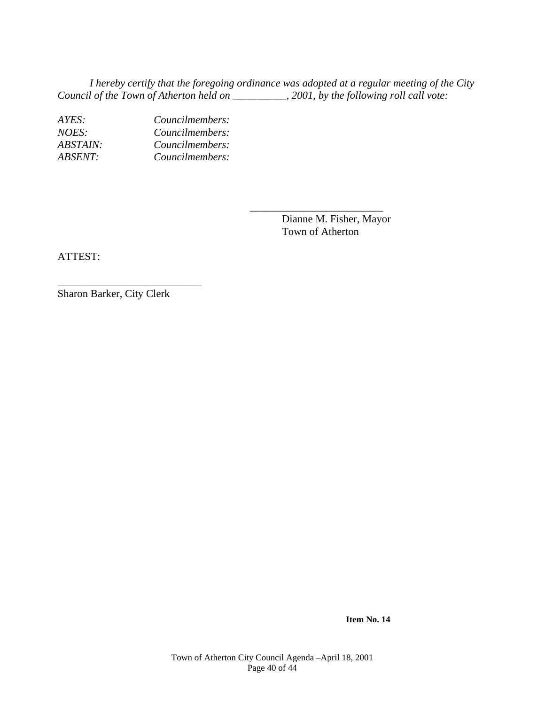*I hereby certify that the foregoing ordinance was adopted at a regular meeting of the City Council of the Town of Atherton held on \_\_\_\_\_\_\_\_\_\_, 2001, by the following roll call vote:* 

 $\overline{\phantom{a}}$  , and the contract of the contract of the contract of the contract of the contract of the contract of the contract of the contract of the contract of the contract of the contract of the contract of the contrac

*AYES: Councilmembers: NOES: Councilmembers: ABSTAIN: Councilmembers: ABSENT: Councilmembers:* 

> Dianne M. Fisher, Mayor Town of Atherton

ATTEST:

Sharon Barker, City Clerk

\_\_\_\_\_\_\_\_\_\_\_\_\_\_\_\_\_\_\_\_\_\_\_\_\_\_\_

**Item No. 14**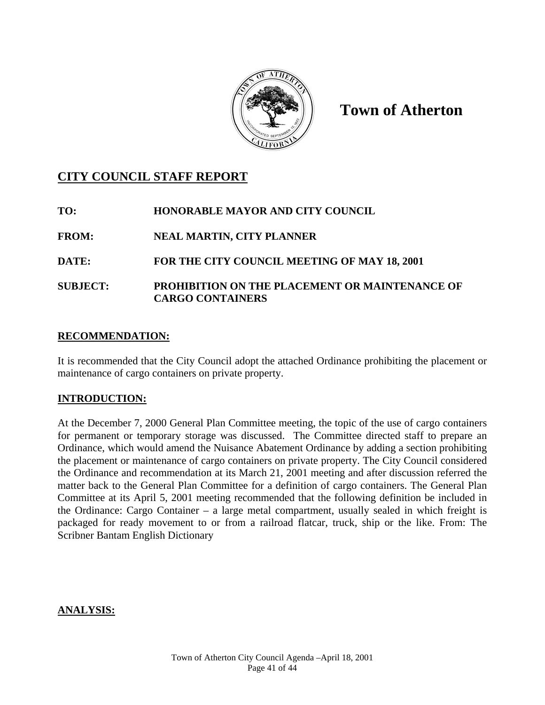

# **Town of Atherton**

# **CITY COUNCIL STAFF REPORT**

| TO:             | <b>HONORABLE MAYOR AND CITY COUNCIL</b>                                          |
|-----------------|----------------------------------------------------------------------------------|
| <b>FROM:</b>    | <b>NEAL MARTIN, CITY PLANNER</b>                                                 |
| <b>DATE:</b>    | FOR THE CITY COUNCIL MEETING OF MAY 18, 2001                                     |
| <b>SUBJECT:</b> | <b>PROHIBITION ON THE PLACEMENT OR MAINTENANCE OF</b><br><b>CARGO CONTAINERS</b> |

# **RECOMMENDATION:**

It is recommended that the City Council adopt the attached Ordinance prohibiting the placement or maintenance of cargo containers on private property.

# **INTRODUCTION:**

At the December 7, 2000 General Plan Committee meeting, the topic of the use of cargo containers for permanent or temporary storage was discussed. The Committee directed staff to prepare an Ordinance, which would amend the Nuisance Abatement Ordinance by adding a section prohibiting the placement or maintenance of cargo containers on private property. The City Council considered the Ordinance and recommendation at its March 21, 2001 meeting and after discussion referred the matter back to the General Plan Committee for a definition of cargo containers. The General Plan Committee at its April 5, 2001 meeting recommended that the following definition be included in the Ordinance: Cargo Container – a large metal compartment, usually sealed in which freight is packaged for ready movement to or from a railroad flatcar, truck, ship or the like. From: The Scribner Bantam English Dictionary

## **ANALYSIS:**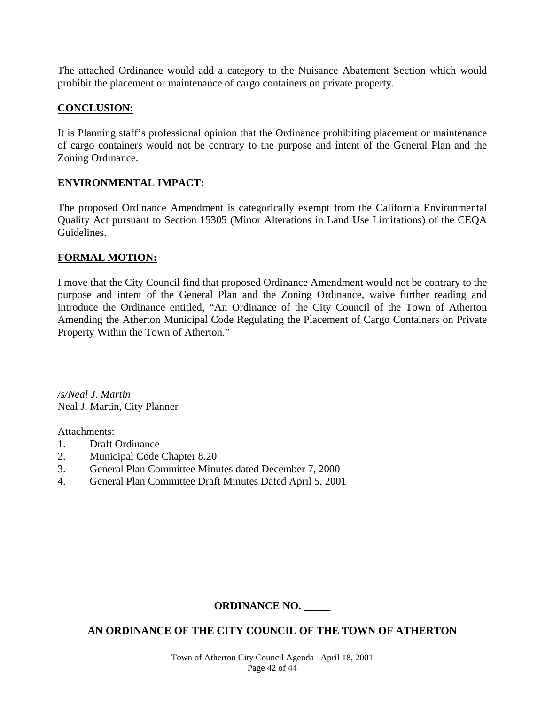The attached Ordinance would add a category to the Nuisance Abatement Section which would prohibit the placement or maintenance of cargo containers on private property.

## **CONCLUSION:**

It is Planning staff's professional opinion that the Ordinance prohibiting placement or maintenance of cargo containers would not be contrary to the purpose and intent of the General Plan and the Zoning Ordinance.

## **ENVIRONMENTAL IMPACT:**

The proposed Ordinance Amendment is categorically exempt from the California Environmental Quality Act pursuant to Section 15305 (Minor Alterations in Land Use Limitations) of the CEQA Guidelines.

## **FORMAL MOTION:**

I move that the City Council find that proposed Ordinance Amendment would not be contrary to the purpose and intent of the General Plan and the Zoning Ordinance, waive further reading and introduce the Ordinance entitled, "An Ordinance of the City Council of the Town of Atherton Amending the Atherton Municipal Code Regulating the Placement of Cargo Containers on Private Property Within the Town of Atherton."

*/s/Neal J. Martin*  Neal J. Martin, City Planner

Attachments:

- 1. Draft Ordinance
- 2. Municipal Code Chapter 8.20
- 3. General Plan Committee Minutes dated December 7, 2000
- 4. General Plan Committee Draft Minutes Dated April 5, 2001

# **ORDINANCE NO. \_\_\_\_\_**

# **AN ORDINANCE OF THE CITY COUNCIL OF THE TOWN OF ATHERTON**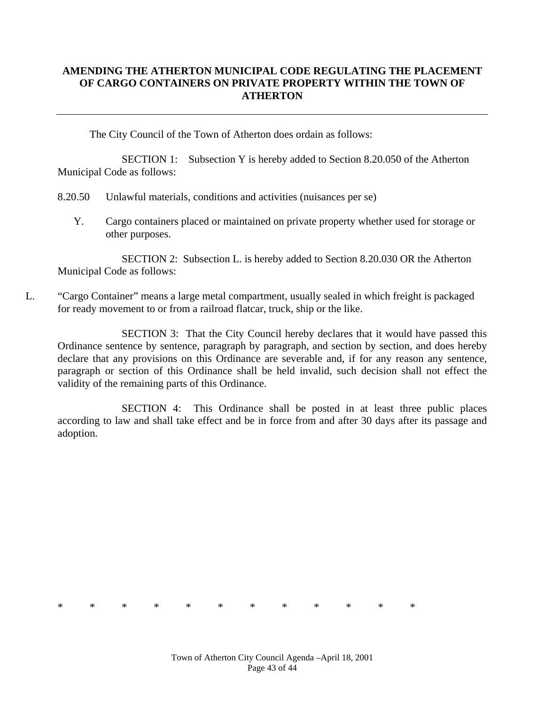## **AMENDING THE ATHERTON MUNICIPAL CODE REGULATING THE PLACEMENT OF CARGO CONTAINERS ON PRIVATE PROPERTY WITHIN THE TOWN OF ATHERTON**

The City Council of the Town of Atherton does ordain as follows:

SECTION 1: Subsection Y is hereby added to Section 8.20.050 of the Atherton Municipal Code as follows:

8.20.50 Unlawful materials, conditions and activities (nuisances per se)

Y. Cargo containers placed or maintained on private property whether used for storage or other purposes.

 SECTION 2: Subsection L. is hereby added to Section 8.20.030 OR the Atherton Municipal Code as follows:

L. "Cargo Container" means a large metal compartment, usually sealed in which freight is packaged for ready movement to or from a railroad flatcar, truck, ship or the like.

SECTION 3: That the City Council hereby declares that it would have passed this Ordinance sentence by sentence, paragraph by paragraph, and section by section, and does hereby declare that any provisions on this Ordinance are severable and, if for any reason any sentence, paragraph or section of this Ordinance shall be held invalid, such decision shall not effect the validity of the remaining parts of this Ordinance.

SECTION 4: This Ordinance shall be posted in at least three public places according to law and shall take effect and be in force from and after 30 days after its passage and adoption.

\* \* \* \* \* \* \* \* \* \* \* \*